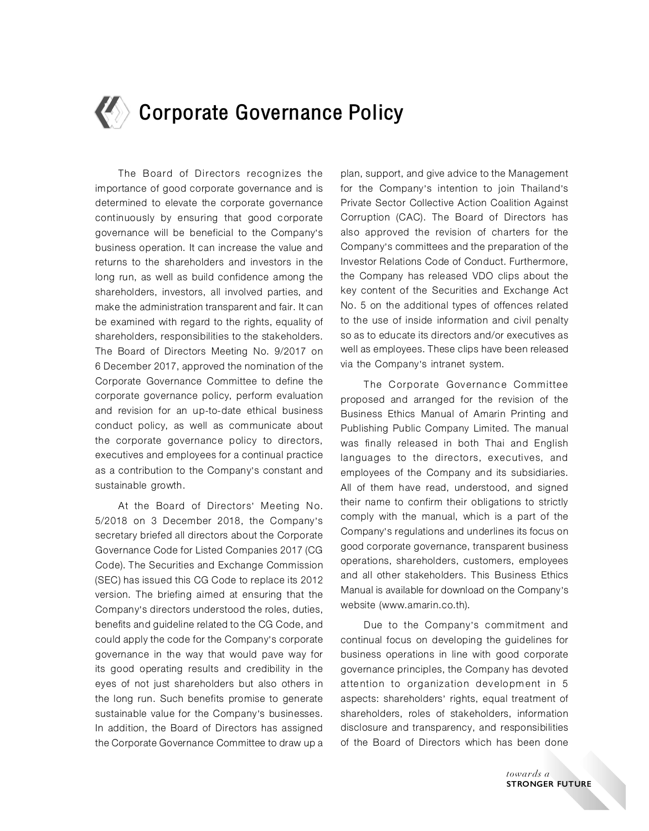# **Corporate Governance Policy**

The Board of Directors recognizes the importance of good corporate governance and is determined to elevate the corporate governance continuously by ensuring that good corporate governance will be beneficial to the Company's business operation. It can increase the value and returns to the shareholders and investors in the long run, as well as build confidence among the shareholders, investors, all involved parties, and make the administration transparent and fair. It can be examined with regard to the rights, equality of shareholders, responsibilities to the stakeholders. The Board of Directors Meeting No. 9/2017 on 6 December 2017, approved the nomination of the Corporate Governance Committee to define the corporate governance policy, perform evaluation and revision for an up-to-date ethical business conduct policy, as well as communicate about the corporate governance policy to directors, executives and employees for a continual practice as a contribution to the Company's constant and sustainable growth.

At the Board of Directors' Meeting No. 5/2018 on 3 December 2018, the Company's secretary briefed all directors about the Corporate Governance Code for Listed Companies 2017 (CG Code). The Securities and Exchange Commission (SEC) has issued this CG Code to replace its 2012 version. The briefing aimed at ensuring that the Company's directors understood the roles, duties, benefits and guideline related to the CG Code, and could apply the code for the Company's corporate governance in the way that would pave way for its good operating results and credibility in the eyes of not just shareholders but also others in the long run. Such benefits promise to generate sustainable value for the Company's businesses. In addition, the Board of Directors has assigned the Corporate Governance Committee to draw up a

plan, support, and give advice to the Management for the Company's intention to join Thailand's Private Sector Collective Action Coalition Against Corruption (CAC). The Board of Directors has also approved the revision of charters for the Company's committees and the preparation of the Investor Relations Code of Conduct. Furthermore, the Company has released VDO clips about the key content of the Securities and Exchange Act No. 5 on the additional types of offences related to the use of inside information and civil penalty so as to educate its directors and/or executives as well as employees. These clips have been released via the Company's intranet system.

The Corporate Governance Committee proposed and arranged for the revision of the Business Ethics Manual of Amarin Printing and Publishing Public Company Limited. The manual was finally released in both Thai and English languages to the directors, executives, and employees of the Company and its subsidiaries. All of them have read, understood, and signed their name to confirm their obligations to strictly comply with the manual, which is a part of the Company's regulations and underlines its focus on good corporate governance, transparent business operations, shareholders, customers, employees and all other stakeholders. This Business Ethics Manual is available for download on the Company's website (www.amarin.co.th).

Due to the Company's commitment and continual focus on developing the guidelines for business operations in line with good corporate governance principles, the Company has devoted attention to organization development in 5 aspects: shareholders' rights, equal treatment of shareholders, roles of stakeholders, information disclosure and transparency, and responsibilities of the Board of Directors which has been done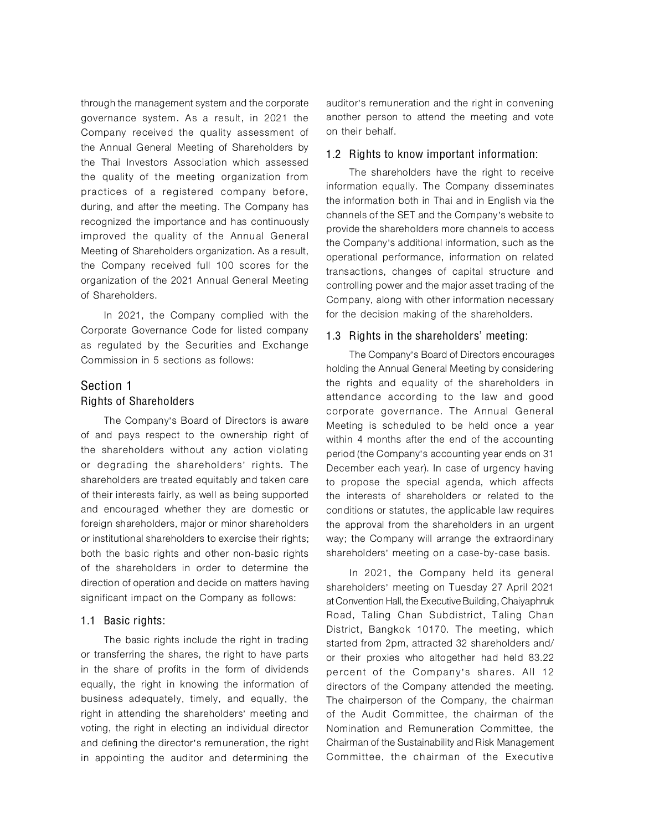through the management system and the corporate governance system. As a result, in 2021 the Company received the quality assessment of the Annual General Meeting of Shareholders by the Thai Investors Association which assessed the quality of the meeting organization from practices of a registered company before, during, and after the meeting. The Company has recognized the importance and has continuously improved the quality of the Annual General Meeting of Shareholders organization. As a result, the Company received full 100 scores for the organization of the 2021 Annual General Meeting of Shareholders.

In 2021, the Company complied with the Corporate Governance Code for listed company as regulated by the Securities and Exchange Commission in 5 sections as follows:

# Section 1 Rights of Shareholders

The Company's Board of Directors is aware of and pays respect to the ownership right of the shareholders without any action violating or degrading the shareholders' rights. The shareholders are treated equitably and taken care of their interests fairly, as well as being supported and encouraged whether they are domestic or foreign shareholders, major or minor shareholders or institutional shareholders to exercise their rights; both the basic rights and other non-basic rights of the shareholders in order to determine the direction of operation and decide on matters having significant impact on the Company as follows:

#### 1.1 Basic rights:

The basic rights include the right in trading or transferring the shares, the right to have parts in the share of profits in the form of dividends equally, the right in knowing the information of business adequately, timely, and equally, the right in attending the shareholders' meeting and voting, the right in electing an individual director and defining the director's remuneration, the right in appointing the auditor and determining the

auditor's remuneration and the right in convening another person to attend the meeting and vote on their behalf.

#### 1.2 Rights to know important information:

The shareholders have the right to receive information equally. The Company disseminates the information both in Thai and in English via the channels of the SET and the Company's website to provide the shareholders more channels to access the Company's additional information, such as the operational performance, information on related transactions, changes of capital structure and controlling power and the major asset trading of the Company, along with other information necessary for the decision making of the shareholders.

#### 1.3 Rights in the shareholders' meeting:

The Company's Board of Directors encourages holding the Annual General Meeting by considering the rights and equality of the shareholders in attendance according to the law and good corporate governance. The Annual General Meeting is scheduled to be held once a year within 4 months after the end of the accounting period (the Company's accounting year ends on 31 December each year). In case of urgency having to propose the special agenda, which affects the interests of shareholders or related to the conditions or statutes, the applicable law requires the approval from the shareholders in an urgent way; the Company will arrange the extraordinary shareholders' meeting on a case-by-case basis.

In 2021, the Company held its general shareholders' meeting on Tuesday 27 April 2021 at Convention Hall, the Executive Building, Chaiyaphruk Road, Taling Chan Subdistrict, Taling Chan District, Bangkok 10170. The meeting, which started from 2pm, attracted 32 shareholders and/ or their proxies who altogether had held 83.22 percent of the Company's shares. All 12 directors of the Company attended the meeting. The chairperson of the Company, the chairman of the Audit Committee, the chairman of the Nomination and Remuneration Committee, the Chairman of the Sustainability and Risk Management Committee, the chairman of the Executive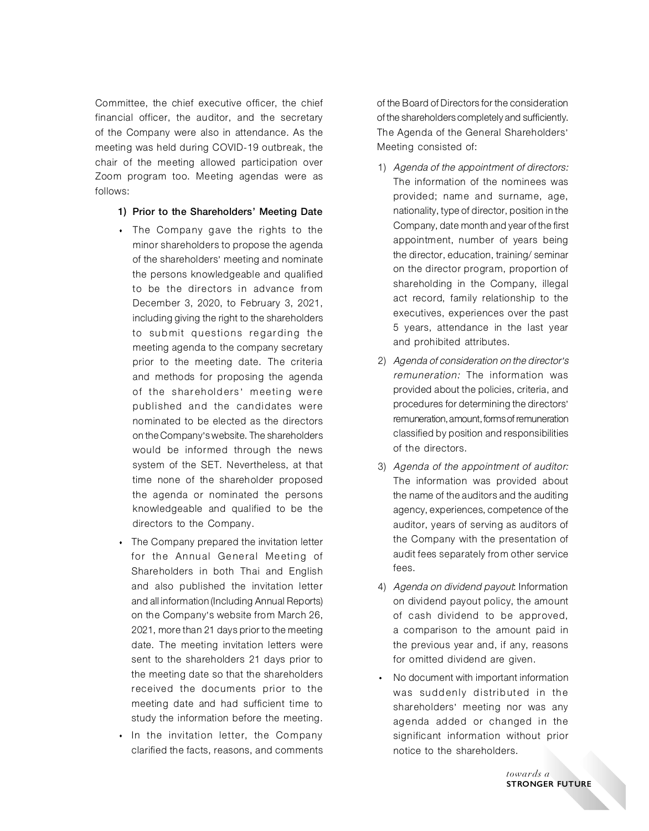Committee, the chief executive officer, the chief financial officer, the auditor, and the secretary of the Company were also in attendance. As the meeting was held during COVID-19 outbreak, the chair of the meeting allowed participation over Zoom program too. Meeting agendas were as follows:

- 1) Prior to the Shareholders' Meeting Date
- The Company gave the rights to the minor shareholders to propose the agenda of the shareholders' meeting and nominate the persons knowledgeable and qualified to be the directors in advance from December 3, 2020, to February 3, 2021, including giving the right to the shareholders to submit questions regarding the meeting agenda to the company secretary prior to the meeting date. The criteria and methods for proposing the agenda of the shareholders' meeting were published and the candidates were nominated to be elected as the directors on the Company's website. The shareholders would be informed through the news system of the SET. Nevertheless, at that time none of the shareholder proposed the agenda or nominated the persons knowledgeable and qualified to be the directors to the Company.
- The Company prepared the invitation letter for the Annual General Meeting of Shareholders in both Thai and English and also published the invitation letter and all information (Including Annual Reports) on the Company's website from March 26, 2021, more than 21 days prior to the meeting date. The meeting invitation letters were sent to the shareholders 21 days prior to the meeting date so that the shareholders received the documents prior to the meeting date and had sufficient time to study the information before the meeting.
- In the invitation letter, the Company clarified the facts, reasons, and comments

of the Board of Directors for the consideration of the shareholders completely and sufficiently. The Agenda of the General Shareholders' Meeting consisted of:

- 1) Agenda of the appointment of directors: The information of the nominees was provided; name and surname, age, nationality, type of director, position in the Company, date month and year of the first appointment, number of years being the director, education, training/ seminar on the director program, proportion of shareholding in the Company, illegal act record, family relationship to the executives, experiences over the past 5 years, attendance in the last year and prohibited attributes.
- 2) Agenda of consideration on the director's remuneration: The information was provided about the policies, criteria, and procedures for determining the directors' remuneration, amount, forms of remuneration classified by position and responsibilities of the directors.
- 3) Agenda of the appointment of auditor: The information was provided about the name of the auditors and the auditing agency, experiences, competence of the auditor, years of serving as auditors of the Company with the presentation of audit fees separately from other service fees.
- 4) Agenda on dividend payout: Information on dividend payout policy, the amount of cash dividend to be approved, a comparison to the amount paid in the previous year and, if any, reasons for omitted dividend are given.
- No document with important information was suddenly distributed in the shareholders' meeting nor was any agenda added or changed in the significant information without prior notice to the shareholders.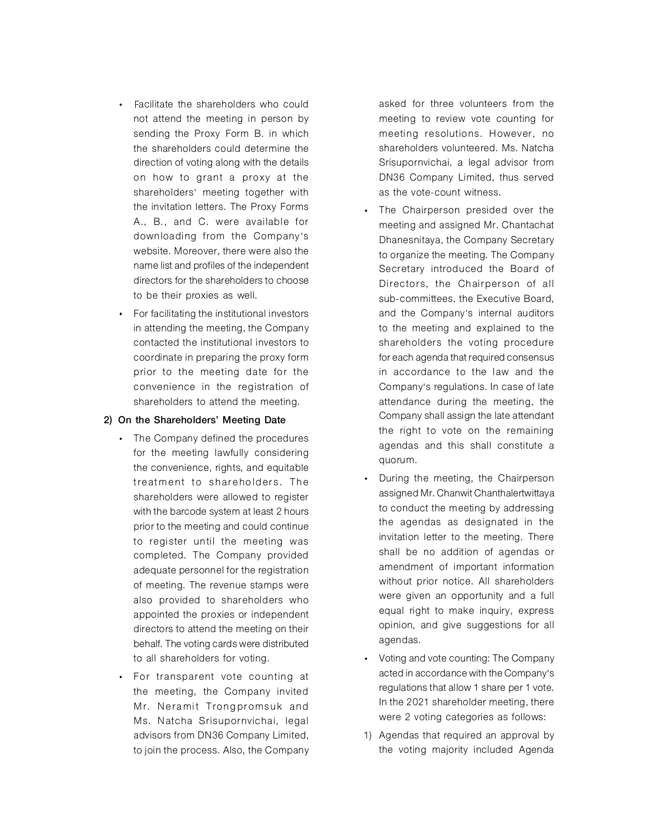- Facilitate the shareholders who could not attend the meeting in person by sending the Proxy Form B. in which the shareholders could determine the direction of voting along with the details on how to grant a proxy at the shareholders' meeting together with the invitation letters. The Proxy Forms A., B., and C. were available for downloading from the Company's website. Moreover, there were also the name list and profiles of the independent directors for the shareholders to choose to be their proxies as well.
- For facilitating the institutional investors in attending the meeting, the Company contacted the institutional investors to coordinate in preparing the proxy form prior to the meeting date for the convenience in the registration of shareholders to attend the meeting.

#### 2) On the Shareholders' Meeting Date

- The Company defined the procedures for the meeting lawfully considering the convenience, rights, and equitable treatment to shareholders. The shareholders were allowed to register with the barcode system at least 2 hours prior to the meeting and could continue to register until the meeting was completed. The Company provided adequate personnel for the registration of meeting. The revenue stamps were also provided to shareholders who appointed the proxies or independent directors to attend the meeting on their behalf. The voting cards were distributed to all shareholders for voting.
- For transparent vote counting at the meeting, the Company invited Mr. Neramit Trongpromsuk and Ms. Natcha Srisupornvichai, legal advisors from DN36 Company Limited, to join the process. Also, the Company

 asked for three volunteers from the meeting to review vote counting for meeting resolutions. However, no shareholders volunteered. Ms. Natcha Srisupornvichai, a legal advisor from DN36 Company Limited, thus served as the vote-count witness.

- The Chairperson presided over the meeting and assigned Mr. Chantachat Dhanesnitaya, the Company Secretary to organize the meeting. The Company Secretary introduced the Board of Directors, the Chairperson of all sub-committees, the Executive Board, and the Company's internal auditors to the meeting and explained to the shareholders the voting procedure for each agenda that required consensus in accordance to the law and the Company's regulations. In case of late attendance during the meeting, the Company shall assign the late attendant the right to vote on the remaining agendas and this shall constitute a quorum.
- During the meeting, the Chairperson assigned Mr. Chanwit Chanthalertwittaya to conduct the meeting by addressing the agendas as designated in the invitation letter to the meeting. There shall be no addition of agendas or amendment of important information without prior notice. All shareholders were given an opportunity and a full equal right to make inquiry, express opinion, and give suggestions for all agendas.
- Voting and vote counting: The Company acted in accordance with the Company's regulations that allow 1 share per 1 vote. In the 2021 shareholder meeting, there were 2 voting categories as follows:
- 1) Agendas that required an approval by the voting majority included Agenda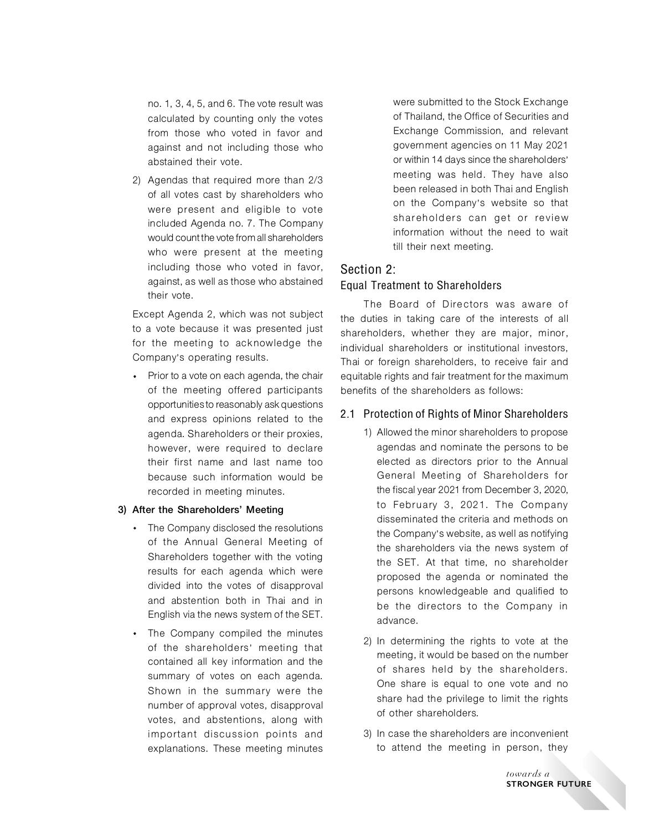no. 1, 3, 4, 5, and 6. The vote result was calculated by counting only the votes from those who voted in favor and against and not including those who abstained their vote.

2) Agendas that required more than 2/3 of all votes cast by shareholders who were present and eligible to vote included Agenda no. 7. The Company would count the vote from all shareholders who were present at the meeting including those who voted in favor, against, as well as those who abstained their vote.

Except Agenda 2, which was not subject to a vote because it was presented just for the meeting to acknowledge the Company's operating results.

• Prior to a vote on each agenda, the chair of the meeting offered participants opportunities to reasonably ask questions and express opinions related to the agenda. Shareholders or their proxies, however, were required to declare their first name and last name too because such information would be recorded in meeting minutes.

#### 3) After the Shareholders' Meeting

- The Company disclosed the resolutions of the Annual General Meeting of Shareholders together with the voting results for each agenda which were divided into the votes of disapproval and abstention both in Thai and in English via the news system of the SET.
- The Company compiled the minutes of the shareholders' meeting that contained all key information and the summary of votes on each agenda. Shown in the summary were the number of approval votes, disapproval votes, and abstentions, along with important discussion points and explanations. These meeting minutes

 were submitted to the Stock Exchange of Thailand, the Office of Securities and Exchange Commission, and relevant government agencies on 11 May 2021 or within 14 days since the shareholders' meeting was held. They have also been released in both Thai and English on the Company's website so that shareholders can get or review information without the need to wait till their next meeting.

# Section 2:

## Equal Treatment to Shareholders

The Board of Directors was aware of the duties in taking care of the interests of all shareholders, whether they are major, minor, individual shareholders or institutional investors, Thai or foreign shareholders, to receive fair and equitable rights and fair treatment for the maximum benefits of the shareholders as follows:

## 2.1 Protection of Rights of Minor Shareholders

- 1) Allowed the minor shareholders to propose agendas and nominate the persons to be elected as directors prior to the Annual General Meeting of Shareholders for the fiscal year 2021 from December 3, 2020, to February 3, 2021. The Company disseminated the criteria and methods on the Company's website, as well as notifying the shareholders via the news system of the SET. At that time, no shareholder proposed the agenda or nominated the persons knowledgeable and qualified to be the directors to the Company in advance.
- 2) In determining the rights to vote at the meeting, it would be based on the number of shares held by the shareholders. One share is equal to one vote and no share had the privilege to limit the rights of other shareholders.
- 3) In case the shareholders are inconvenient to attend the meeting in person, they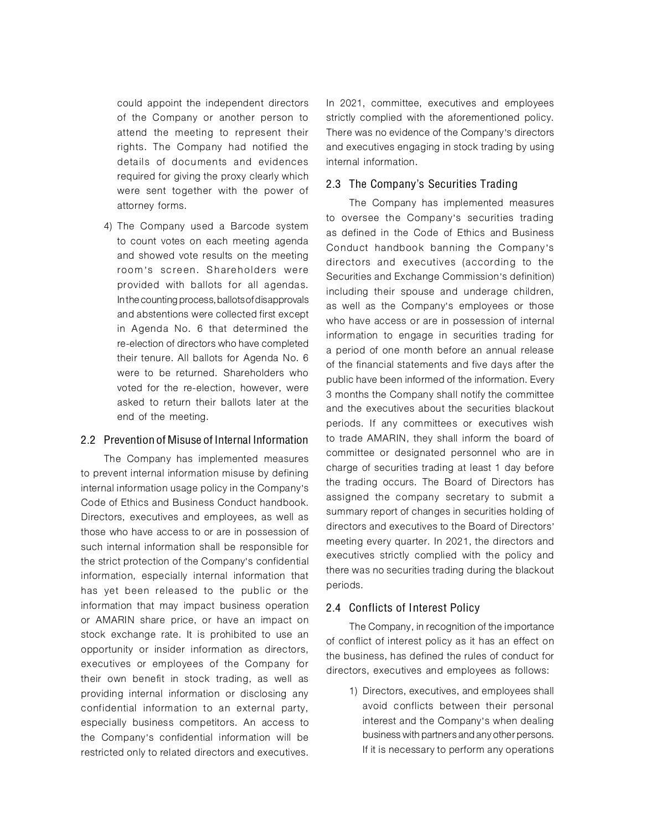could appoint the independent directors of the Company or another person to attend the meeting to represent their rights. The Company had notified the details of documents and evidences required for giving the proxy clearly which were sent together with the power of attorney forms.

4) The Company used a Barcode system to count votes on each meeting agenda and showed vote results on the meeting room's screen. Shareholders were provided with ballots for all agendas. In the counting process, ballots of disapprovals and abstentions were collected first except in Agenda No. 6 that determined the re-election of directors who have completed their tenure. All ballots for Agenda No. 6 were to be returned. Shareholders who voted for the re-election, however, were asked to return their ballots later at the end of the meeting.

#### 2.2 Prevention of Misuse of Internal Information

The Company has implemented measures to prevent internal information misuse by defining internal information usage policy in the Company's Code of Ethics and Business Conduct handbook. Directors, executives and employees, as well as those who have access to or are in possession of such internal information shall be responsible for the strict protection of the Company's confidential information, especially internal information that has yet been released to the public or the information that may impact business operation or AMARIN share price, or have an impact on stock exchange rate. It is prohibited to use an opportunity or insider information as directors, executives or employees of the Company for their own benefit in stock trading, as well as providing internal information or disclosing any confidential information to an external party, especially business competitors. An access to the Company's confidential information will be restricted only to related directors and executives. In 2021, committee, executives and employees strictly complied with the aforementioned policy. There was no evidence of the Company's directors and executives engaging in stock trading by using internal information.

## 2.3 The Company's Securities Trading

The Company has implemented measures to oversee the Company's securities trading as defined in the Code of Ethics and Business Conduct handbook banning the Company's directors and executives (according to the Securities and Exchange Commission's definition) including their spouse and underage children, as well as the Company's employees or those who have access or are in possession of internal information to engage in securities trading for a period of one month before an annual release of the financial statements and five days after the public have been informed of the information. Every 3 months the Company shall notify the committee and the executives about the securities blackout periods. If any committees or executives wish to trade AMARIN, they shall inform the board of committee or designated personnel who are in charge of securities trading at least 1 day before the trading occurs. The Board of Directors has assigned the company secretary to submit a summary report of changes in securities holding of directors and executives to the Board of Directors' meeting every quarter. In 2021, the directors and executives strictly complied with the policy and there was no securities trading during the blackout periods.

#### 2.4 Conflicts of Interest Policy

The Company, in recognition of the importance of conflict of interest policy as it has an effect on the business, has defined the rules of conduct for directors, executives and employees as follows:

1) Directors, executives, and employees shall avoid conflicts between their personal interest and the Company's when dealing business with partners and any other persons. If it is necessary to perform any operations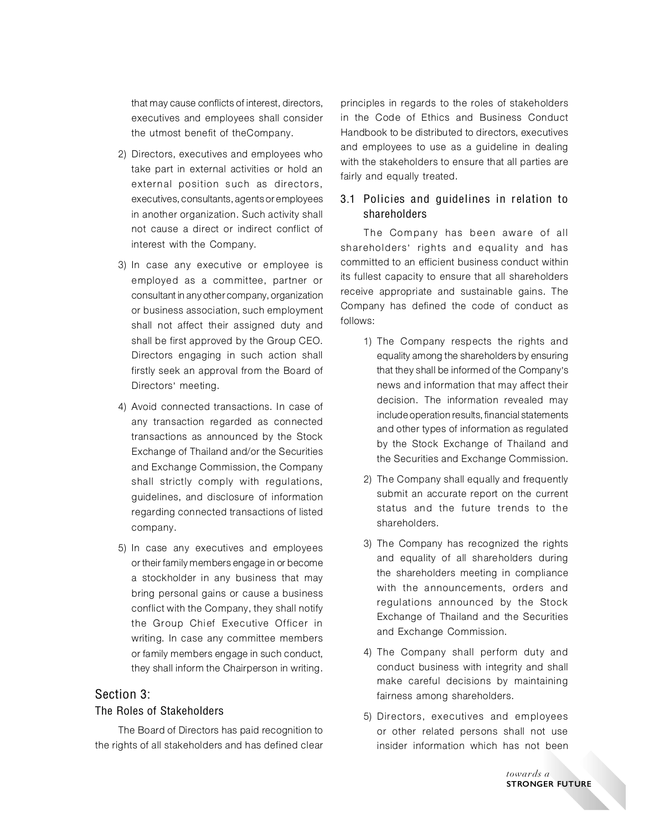that may cause conflicts of interest, directors, executives and employees shall consider the utmost benefit of theCompany.

- 2) Directors, executives and employees who take part in external activities or hold an external position such as directors, executives, consultants, agents or employees in another organization. Such activity shall not cause a direct or indirect conflict of interest with the Company.
- 3) In case any executive or employee is employed as a committee, partner or consultant in any other company, organization or business association, such employment shall not affect their assigned duty and shall be first approved by the Group CEO. Directors engaging in such action shall firstly seek an approval from the Board of Directors' meeting.
- 4) Avoid connected transactions. In case of any transaction regarded as connected transactions as announced by the Stock Exchange of Thailand and/or the Securities and Exchange Commission, the Company shall strictly comply with regulations, guidelines, and disclosure of information regarding connected transactions of listed company.
- 5) In case any executives and employees or their family members engage in or become a stockholder in any business that may bring personal gains or cause a business conflict with the Company, they shall notify the Group Chief Executive Officer in writing. In case any committee members or family members engage in such conduct, they shall inform the Chairperson in writing.

# Section 3:

## The Roles of Stakeholders

The Board of Directors has paid recognition to the rights of all stakeholders and has defined clear

principles in regards to the roles of stakeholders in the Code of Ethics and Business Conduct Handbook to be distributed to directors, executives and employees to use as a guideline in dealing with the stakeholders to ensure that all parties are fairly and equally treated.

## 3.1 Policies and guidelines in relation to shareholders

The Company has been aware of all shareholders' rights and equality and has committed to an efficient business conduct within its fullest capacity to ensure that all shareholders receive appropriate and sustainable gains. The Company has defined the code of conduct as follows:

- 1) The Company respects the rights and equality among the shareholders by ensuring that they shall be informed of the Company's news and information that may affect their decision. The information revealed may include operation results, financial statements and other types of information as regulated by the Stock Exchange of Thailand and the Securities and Exchange Commission.
- 2) The Company shall equally and frequently submit an accurate report on the current status and the future trends to the shareholders.
- 3) The Company has recognized the rights and equality of all shareholders during the shareholders meeting in compliance with the announcements, orders and regulations announced by the Stock Exchange of Thailand and the Securities and Exchange Commission.
- 4) The Company shall perform duty and conduct business with integrity and shall make careful decisions by maintaining fairness among shareholders.
- 5) Directors, executives and employees or other related persons shall not use insider information which has not been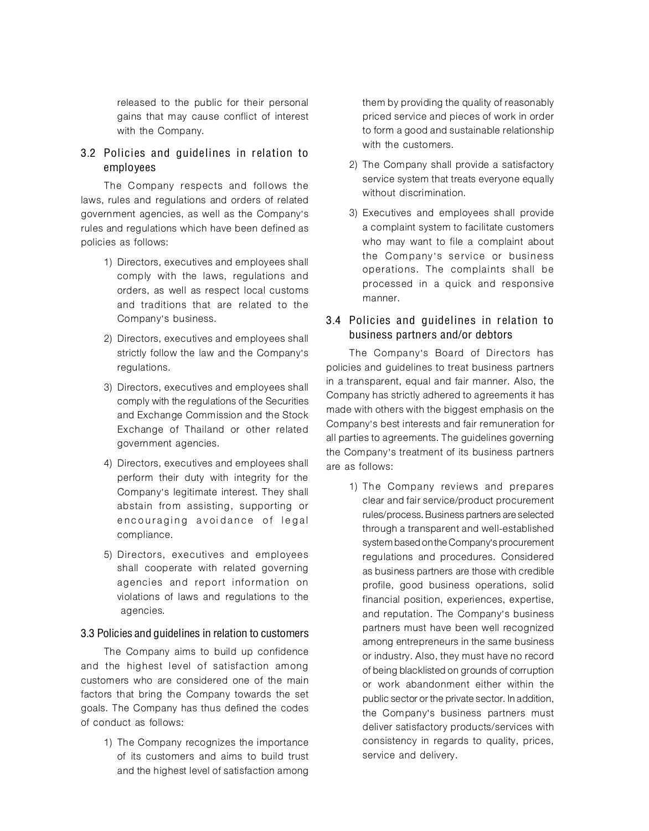released to the public for their personal gains that may cause conflict of interest with the Company.

# 3.2 Policies and guidelines in relation to employees

The Company respects and follows the laws, rules and regulations and orders of related government agencies, as well as the Company's rules and regulations which have been defined as policies as follows:

- 1) Directors, executives and employees shall comply with the laws, regulations and orders, as well as respect local customs and traditions that are related to the Company's business.
- 2) Directors, executives and employees shall strictly follow the law and the Company's regulations.
- 3) Directors, executives and employees shall comply with the regulations of the Securities and Exchange Commission and the Stock Exchange of Thailand or other related government agencies.
- 4) Directors, executives and employees shall perform their duty with integrity for the Company's legitimate interest. They shall abstain from assisting, supporting or encouraging avoidance of legal compliance.
- 5) Directors, executives and employees shall cooperate with related governing agencies and report information on violations of laws and regulations to the agencies.

#### 3.3 Policies and guidelines in relation to customers

The Company aims to build up confidence and the highest level of satisfaction among customers who are considered one of the main factors that bring the Company towards the set goals. The Company has thus defined the codes of conduct as follows:

> 1) The Company recognizes the importance of its customers and aims to build trust and the highest level of satisfaction among

them by providing the quality of reasonably priced service and pieces of work in order to form a good and sustainable relationship with the customers.

- 2) The Company shall provide a satisfactory service system that treats everyone equally without discrimination.
- 3) Executives and employees shall provide a complaint system to facilitate customers who may want to file a complaint about the Company's service or business operations. The complaints shall be processed in a quick and responsive manner.

## 3.4 Policies and guidelines in relation to business partners and/or debtors

The Company's Board of Directors has policies and guidelines to treat business partners in a transparent, equal and fair manner. Also, the Company has strictly adhered to agreements it has made with others with the biggest emphasis on the Company's best interests and fair remuneration for all parties to agreements. The guidelines governing the Company's treatment of its business partners are as follows:

> 1) The Company reviews and prepares clear and fair service/product procurement rules/process. Business partners are selected through a transparent and well-established system based on the Company's procurement regulations and procedures. Considered as business partners are those with credible profile, good business operations, solid financial position, experiences, expertise, and reputation. The Company's business partners must have been well recognized among entrepreneurs in the same business or industry. Also, they must have no record of being blacklisted on grounds of corruption or work abandonment either within the public sector or the private sector. In addition, the Company's business partners must deliver satisfactory products/services with consistency in regards to quality, prices, service and delivery.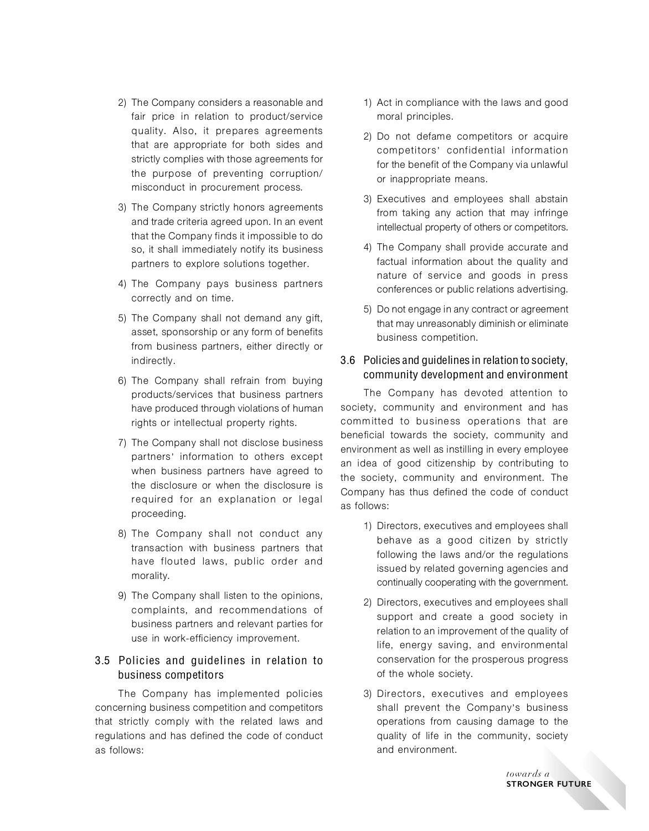- 2) The Company considers a reasonable and fair price in relation to product/service quality. Also, it prepares agreements that are appropriate for both sides and strictly complies with those agreements for the purpose of preventing corruption/ misconduct in procurement process.
- 3) The Company strictly honors agreements and trade criteria agreed upon. In an event that the Company finds it impossible to do so, it shall immediately notify its business partners to explore solutions together.
- 4) The Company pays business partners correctly and on time.
- 5) The Company shall not demand any gift, asset, sponsorship or any form of benefits from business partners, either directly or indirectly.
- 6) The Company shall refrain from buying products/services that business partners have produced through violations of human rights or intellectual property rights.
- 7) The Company shall not disclose business partners' information to others except when business partners have agreed to the disclosure or when the disclosure is required for an explanation or legal proceeding.
- 8) The Company shall not conduct any transaction with business partners that have flouted laws, public order and morality.
- 9) The Company shall listen to the opinions, complaints, and recommendations of business partners and relevant parties for use in work-efficiency improvement.

## 3.5 Policies and guidelines in relation to business competitors

The Company has implemented policies concerning business competition and competitors that strictly comply with the related laws and regulations and has defined the code of conduct as follows:

- 1) Act in compliance with the laws and good moral principles.
- 2) Do not defame competitors or acquire competitors' confidential information for the benefit of the Company via unlawful or inappropriate means.
- 3) Executives and employees shall abstain from taking any action that may infringe intellectual property of others or competitors.
- 4) The Company shall provide accurate and factual information about the quality and nature of service and goods in press conferences or public relations advertising.
- 5) Do not engage in any contract or agreement that may unreasonably diminish or eliminate business competition.

## 3.6 Policies and guidelines in relation to society, community development and environment

The Company has devoted attention to society, community and environment and has committed to business operations that are beneficial towards the society, community and environment as well as instilling in every employee an idea of good citizenship by contributing to the society, community and environment. The Company has thus defined the code of conduct as follows:

- 1) Directors, executives and employees shall behave as a good citizen by strictly following the laws and/or the regulations issued by related governing agencies and continually cooperating with the government.
- 2) Directors, executives and employees shall support and create a good society in relation to an improvement of the quality of life, energy saving, and environmental conservation for the prosperous progress of the whole society.
- 3) Directors, executives and employees shall prevent the Company's business operations from causing damage to the quality of life in the community, society and environment.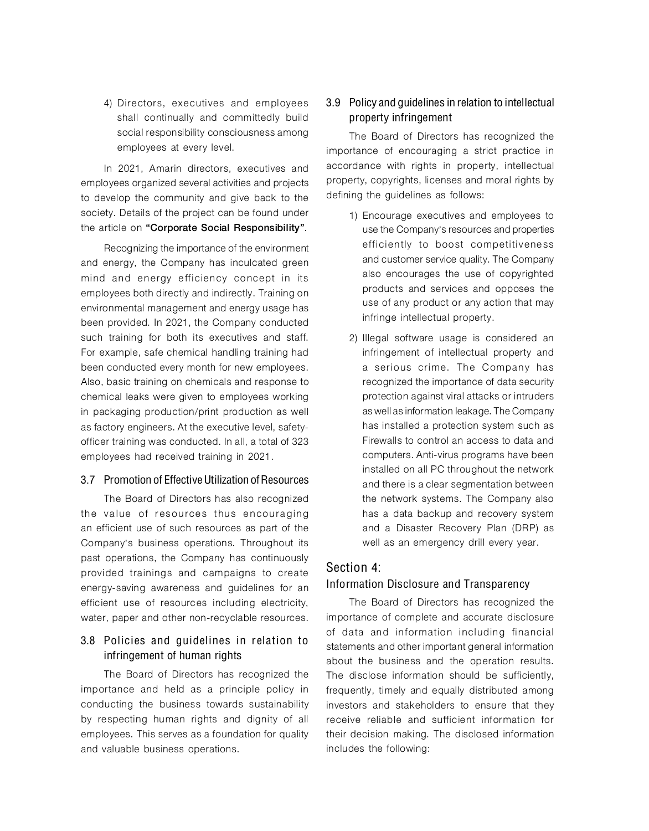4) Directors, executives and employees shall continually and committedly build social responsibility consciousness among employees at every level.

In 2021, Amarin directors, executives and employees organized several activities and projects to develop the community and give back to the society. Details of the project can be found under the article on "Corporate Social Responsibility".

Recognizing the importance of the environment and energy, the Company has inculcated green mind and energy efficiency concept in its employees both directly and indirectly. Training on environmental management and energy usage has been provided. In 2021, the Company conducted such training for both its executives and staff. For example, safe chemical handling training had been conducted every month for new employees. Also, basic training on chemicals and response to chemical leaks were given to employees working in packaging production/print production as well as factory engineers. At the executive level, safetyofficer training was conducted. In all, a total of 323 employees had received training in 2021.

#### 3.7 Promotion of Effective Utilization of Resources

The Board of Directors has also recognized the value of resources thus encouraging an efficient use of such resources as part of the Company's business operations. Throughout its past operations, the Company has continuously provided trainings and campaigns to create energy-saving awareness and guidelines for an efficient use of resources including electricity, water, paper and other non-recyclable resources.

# 3.8 Policies and guidelines in relation to infringement of human rights

The Board of Directors has recognized the importance and held as a principle policy in conducting the business towards sustainability by respecting human rights and dignity of all employees. This serves as a foundation for quality and valuable business operations.

## 3.9 Policy and guidelines in relation to intellectual property infringement

The Board of Directors has recognized the importance of encouraging a strict practice in accordance with rights in property, intellectual property, copyrights, licenses and moral rights by defining the guidelines as follows:

- 1) Encourage executives and employees to use the Company's resources and properties efficiently to boost competitiveness and customer service quality. The Company also encourages the use of copyrighted products and services and opposes the use of any product or any action that may infringe intellectual property.
- 2) Illegal software usage is considered an infringement of intellectual property and a serious crime. The Company has recognized the importance of data security protection against viral attacks or intruders as well as information leakage. The Company has installed a protection system such as Firewalls to control an access to data and computers. Anti-virus programs have been installed on all PC throughout the network and there is a clear segmentation between the network systems. The Company also has a data backup and recovery system and a Disaster Recovery Plan (DRP) as well as an emergency drill every year.

## Section 4:

## Information Disclosure and Transparency

The Board of Directors has recognized the importance of complete and accurate disclosure of data and information including financial statements and other important general information about the business and the operation results. The disclose information should be sufficiently, frequently, timely and equally distributed among investors and stakeholders to ensure that they receive reliable and sufficient information for their decision making. The disclosed information includes the following: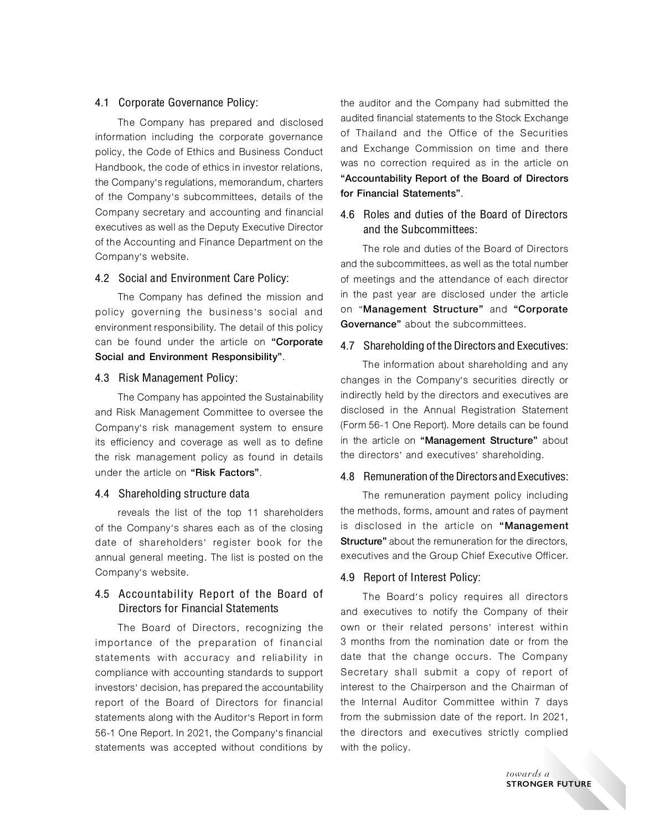#### 4.1 Corporate Governance Policy:

The Company has prepared and disclosed information including the corporate governance policy, the Code of Ethics and Business Conduct Handbook, the code of ethics in investor relations, the Company's regulations, memorandum, charters of the Company's subcommittees, details of the Company secretary and accounting and financial executives as well as the Deputy Executive Director of the Accounting and Finance Department on the Company's website.

#### 4.2 Social and Environment Care Policy:

The Company has defined the mission and policy governing the business's social and environment responsibility. The detail of this policy can be found under the article on "Corporate Social and Environment Responsibility".

#### 4.3 Risk Management Policy:

The Company has appointed the Sustainability and Risk Management Committee to oversee the Company's risk management system to ensure its efficiency and coverage as well as to define the risk management policy as found in details under the article on "Risk Factors".

#### 4.4 Shareholding structure data

reveals the list of the top 11 shareholders of the Company's shares each as of the closing date of shareholders' register book for the annual general meeting. The list is posted on the Company's website.

## 4.5 Accountability Report of the Board of Directors for Financial Statements

The Board of Directors, recognizing the importance of the preparation of financial statements with accuracy and reliability in compliance with accounting standards to support investors' decision, has prepared the accountability report of the Board of Directors for financial statements along with the Auditor's Report in form 56-1 One Report. In 2021, the Company's financial statements was accepted without conditions by the auditor and the Company had submitted the audited financial statements to the Stock Exchange of Thailand and the Office of the Securities and Exchange Commission on time and there was no correction required as in the article on "Accountability Report of the Board of Directors for Financial Statements".

# 4.6 Roles and duties of the Board of Directors and the Subcommittees:

The role and duties of the Board of Directors and the subcommittees, as well as the total number of meetings and the attendance of each director in the past year are disclosed under the article on "Management Structure" and "Corporate Governance" about the subcommittees.

## 4.7 Shareholding of the Directors and Executives:

The information about shareholding and any changes in the Company's securities directly or indirectly held by the directors and executives are disclosed in the Annual Registration Statement (Form 56-1 One Report). More details can be found in the article on "Management Structure" about the directors' and executives' shareholding.

#### 4.8 Remuneration of the Directors and Executives:

The remuneration payment policy including the methods, forms, amount and rates of payment is disclosed in the article on "Management **Structure**" about the remuneration for the directors, executives and the Group Chief Executive Officer.

## 4.9 Report of Interest Policy:

The Board's policy requires all directors and executives to notify the Company of their own or their related persons' interest within 3 months from the nomination date or from the date that the change occurs. The Company Secretary shall submit a copy of report of interest to the Chairperson and the Chairman of the Internal Auditor Committee within 7 days from the submission date of the report. In 2021, the directors and executives strictly complied with the policy.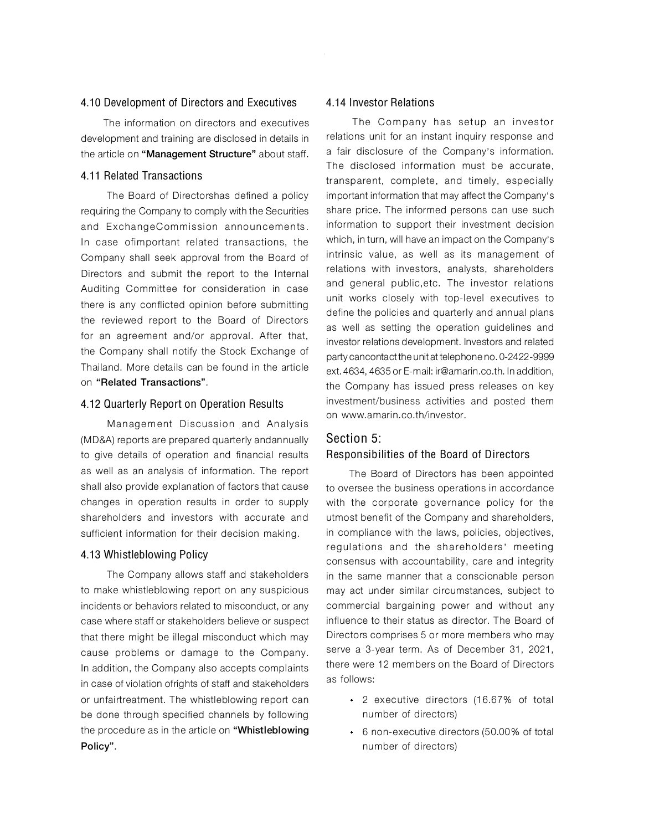#### 4.10 Development of Directors and Executives

The information on directors and executives development and training are disclosed in details in the article on "Management Structure" about staff.

## 4.11 Related Transactions

The Board of Directorshas defined a policy requiring the Company to comply with the Securities and ExchangeCommission announcements. In case ofimportant related transactions, the Company shall seek approval from the Board of Directors and submit the report to the Internal Auditing Committee for consideration in case there is any conflicted opinion before submitting the reviewed report to the Board of Directors for an agreement and/or approval. After that, the Company shall notify the Stock Exchange of Thailand. More details can be found in the article on "Related Transactions".

#### 4.12 Quarterly Report on Operation Results

Management Discussion and Analysis (MD&A) reports are prepared quarterly andannually to give details of operation and financial results as well as an analysis of information. The report shall also provide explanation of factors that cause changes in operation results in order to supply shareholders and investors with accurate and sufficient information for their decision making.

## 4.13 Whistleblowing Policy

The Company allows staff and stakeholders to make whistleblowing report on any suspicious incidents or behaviors related to misconduct, or any case where staff or stakeholders believe or suspect that there might be illegal misconduct which may cause problems or damage to the Company. In addition, the Company also accepts complaints in case of violation ofrights of staff and stakeholders or unfairtreatment. The whistleblowing report can be done through specified channels by following the procedure as in the article on "Whistleblowing Policy".

#### 4.14 Investor Relations

The Company has setup an investor relations unit for an instant inquiry response and a fair disclosure of the Company's information. The disclosed information must be accurate, transparent, complete, and timely, especially important information that may affect the Company's share price. The informed persons can use such information to support their investment decision which, in turn, will have an impact on the Company's intrinsic value, as well as its management of relations with investors, analysts, shareholders and general public,etc. The investor relations unit works closely with top-level executives to define the policies and quarterly and annual plans as well as setting the operation guidelines and investor relations development. Investors and related party cancontact the unit at telephone no. 0-2422-9999 ext.4634,4635 or E-mail: ir@amarin.co.th. In addition, the Company has issued press releases on key investment/business activities and posted them on www.amarin.co.th/investor.

# Section 5: Responsibilities of the Board of Directors

The Board of Directors has been appointed to oversee the business operations in accordance with the corporate governance policy for the utmost benefit of the Company and shareholders, in compliance with the laws, policies, objectives, regulations and the shareholders' meeting consensus with accountability, care and integrity in the same manner that a conscionable person may act under similar circumstances, subject to commercial bargaining power and without any influence to their status as director. The Board of Directors comprises 5 or more members who may serve a 3-year term. As of December 31, 2021, there were 12 members on the Board of Directors as follows:

- 2 executive directors (16.67% of total number of directors)
- 6 non-executive directors (50.00% of total number of directors)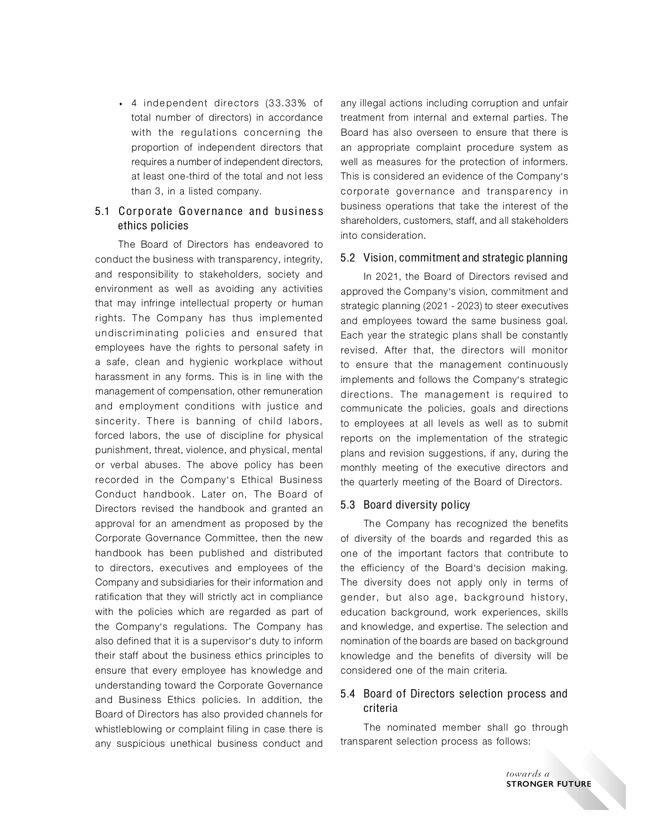4 independent directors (33.33% of total number of directors) in accordance with the regulations concerning the proportion of independent directors that requires a number of independent directors, at least one-third of the total and not less than 3, in a listed company.

## 5.1 Corporate Governance and business ethics policies

The Board of Directors has endeavored to conduct the business with transparency, integrity, and responsibility to stakeholders, society and environment as well as avoiding any activities that may infringe intellectual property or human rights. The Company has thus implemented undiscriminating policies and ensured that employees have the rights to personal safety in a safe, clean and hygienic workplace without harassment in any forms. This is in line with the management of compensation, other remuneration and employment conditions with justice and sincerity. There is banning of child labors, forced labors, the use of discipline for physical punishment, threat, violence, and physical, mental or verbal abuses. The above policy has been recorded in the Company's Ethical Business Conduct handbook. Later on, The Board of Directors revised the handbook and granted an approval for an amendment as proposed by the Corporate Governance Committee, then the new handbook has been published and distributed to directors, executives and employees of the Company and subsidiaries for their information and ratification that they will strictly act in compliance with the policies which are regarded as part of the Company's regulations. The Company has also defined that it is a supervisor's duty to inform their staff about the business ethics principles to ensure that every employee has knowledge and understanding toward the Corporate Governance and Business Ethics policies. In addition, the Board of Directors has also provided channels for whistleblowing or complaint filing in case there is any suspicious unethical business conduct and

any illegal actions including corruption and unfair treatment from internal and external parties. The Board has also overseen to ensure that there is an appropriate complaint procedure system as well as measures for the protection of informers. This is considered an evidence of the Company's corporate governance and transparency in business operations that take the interest of the shareholders, customers, staff, and all stakeholders into consideration.

#### 5.2 Vision, commitment and strategic planning

In 2021, the Board of Directors revised and approved the Company's vision, commitment and strategic planning (2021 - 2023) to steer executives and employees toward the same business goal. Each year the strategic plans shall be constantly revised. After that, the directors will monitor to ensure that the management continuously implements and follows the Company's strategic directions. The management is required to communicate the policies, goals and directions to employees at all levels as well as to submit reports on the implementation of the strategic plans and revision suggestions, if any, during the monthly meeting of the executive directors and the quarterly meeting of the Board of Directors.

#### 5.3 Board diversity policy

The Company has recognized the benefits of diversity of the boards and regarded this as one of the important factors that contribute to the efficiency of the Board's decision making. The diversity does not apply only in terms of gender, but also age, background history, education background, work experiences, skills and knowledge, and expertise. The selection and nomination of the boards are based on background knowledge and the benefits of diversity will be considered one of the main criteria.

# 5.4 Board of Directors selection process and criteria

The nominated member shall go through transparent selection process as follows: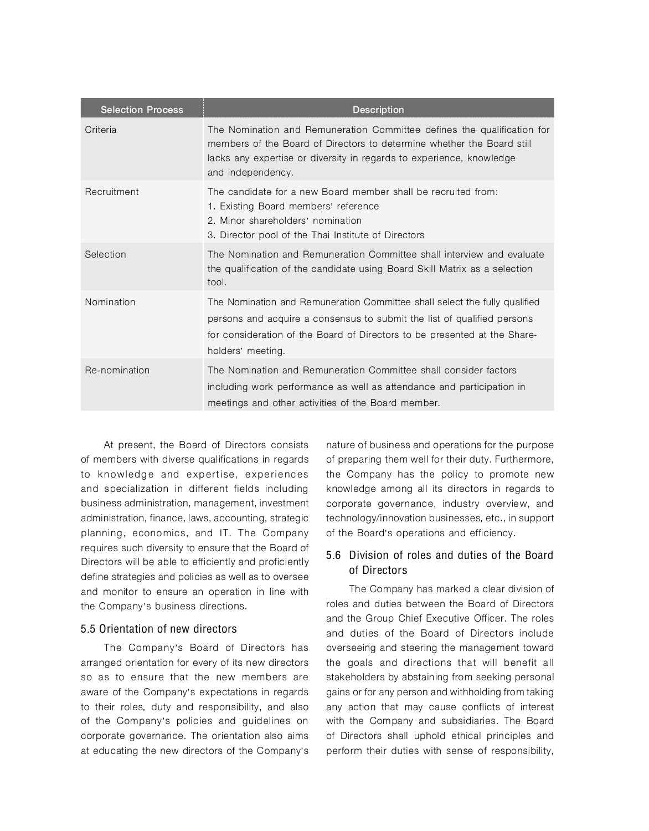| <b>Selection Process</b> | <b>Description</b>                                                                                                                                                                                                                                      |
|--------------------------|---------------------------------------------------------------------------------------------------------------------------------------------------------------------------------------------------------------------------------------------------------|
| Criteria                 | The Nomination and Remuneration Committee defines the qualification for<br>members of the Board of Directors to determine whether the Board still<br>lacks any expertise or diversity in regards to experience, knowledge<br>and independency.          |
| Recruitment              | The candidate for a new Board member shall be recruited from:<br>1. Existing Board members' reference<br>2. Minor shareholders' nomination<br>3. Director pool of the Thai Institute of Directors                                                       |
| Selection                | The Nomination and Remuneration Committee shall interview and evaluate<br>the qualification of the candidate using Board Skill Matrix as a selection<br>tool.                                                                                           |
| Nomination               | The Nomination and Remuneration Committee shall select the fully qualified<br>persons and acquire a consensus to submit the list of qualified persons<br>for consideration of the Board of Directors to be presented at the Share-<br>holders' meeting. |
| Re-nomination            | The Nomination and Remuneration Committee shall consider factors<br>including work performance as well as attendance and participation in<br>meetings and other activities of the Board member.                                                         |

At present, the Board of Directors consists of members with diverse qualifications in regards to knowledge and expertise, experiences and specialization in different fields including business administration, management, investment administration, finance, laws, accounting, strategic planning, economics, and IT. The Company requires such diversity to ensure that the Board of Directors will be able to efficiently and proficiently define strategies and policies as well as to oversee and monitor to ensure an operation in line with the Company's business directions.

#### 5.5 Orientation of new directors

The Company's Board of Directors has arranged orientation for every of its new directors so as to ensure that the new members are aware of the Company's expectations in regards to their roles, duty and responsibility, and also of the Company's policies and guidelines on corporate governance. The orientation also aims at educating the new directors of the Company's

nature of business and operations for the purpose of preparing them well for their duty. Furthermore, the Company has the policy to promote new knowledge among all its directors in regards to corporate governance, industry overview, and technology/innovation businesses, etc., in support of the Board's operations and efficiency.

## 5.6 Division of roles and duties of the Board of Directors

The Company has marked a clear division of roles and duties between the Board of Directors and the Group Chief Executive Officer. The roles and duties of the Board of Directors include overseeing and steering the management toward the goals and directions that will benefit all stakeholders by abstaining from seeking personal gains or for any person and withholding from taking any action that may cause conflicts of interest with the Company and subsidiaries. The Board of Directors shall uphold ethical principles and perform their duties with sense of responsibility,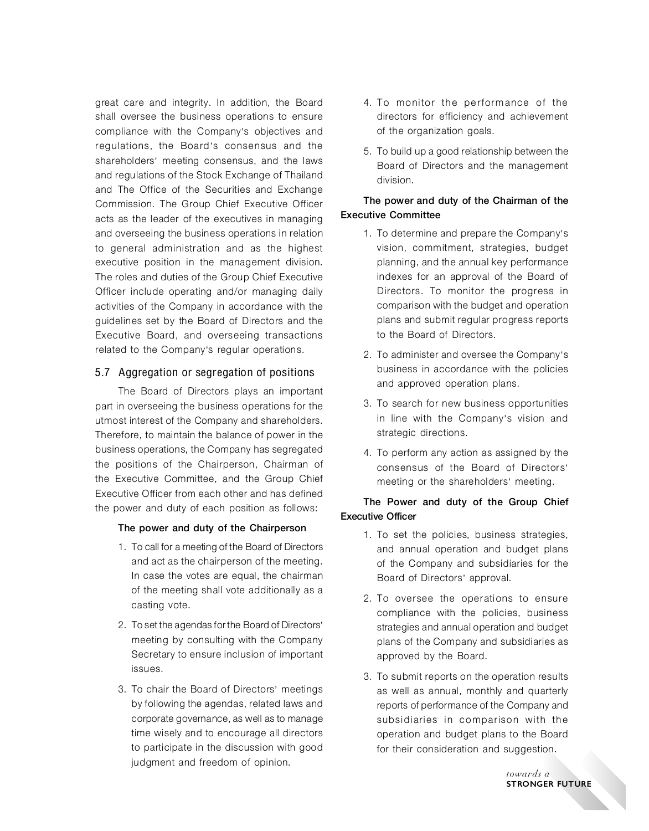great care and integrity. In addition, the Board shall oversee the business operations to ensure compliance with the Company's objectives and regulations, the Board's consensus and the shareholders' meeting consensus, and the laws and regulations of the Stock Exchange of Thailand and The Office of the Securities and Exchange Commission. The Group Chief Executive Officer acts as the leader of the executives in managing and overseeing the business operations in relation to general administration and as the highest executive position in the management division. The roles and duties of the Group Chief Executive Officer include operating and/or managing daily activities of the Company in accordance with the guidelines set by the Board of Directors and the Executive Board, and overseeing transactions related to the Company's regular operations.

## 5.7 Aggregation or segregation of positions

The Board of Directors plays an important part in overseeing the business operations for the utmost interest of the Company and shareholders. Therefore, to maintain the balance of power in the business operations, the Company has segregated the positions of the Chairperson, Chairman of the Executive Committee, and the Group Chief Executive Officer from each other and has defined the power and duty of each position as follows:

#### The power and duty of the Chairperson

- 1. To call for a meeting of the Board of Directors and act as the chairperson of the meeting. In case the votes are equal, the chairman of the meeting shall vote additionally as a casting vote.
- 2. To set the agendas for the Board of Directors' meeting by consulting with the Company Secretary to ensure inclusion of important issues.
- 3. To chair the Board of Directors' meetings by following the agendas, related laws and corporate governance, as well as to manage time wisely and to encourage all directors to participate in the discussion with good judgment and freedom of opinion.
- 4. To monitor the performance of the directors for efficiency and achievement of the organization goals.
- 5. To build up a good relationship between the Board of Directors and the management division.

## The power and duty of the Chairman of the Executive Committee

- 1. To determine and prepare the Company's vision, commitment, strategies, budget planning, and the annual key performance indexes for an approval of the Board of Directors. To monitor the progress in comparison with the budget and operation plans and submit regular progress reports to the Board of Directors.
- 2. To administer and oversee the Company's business in accordance with the policies and approved operation plans.
- 3. To search for new business opportunities in line with the Company's vision and strategic directions.
- 4. To perform any action as assigned by the consensus of the Board of Directors' meeting or the shareholders' meeting.

## The Power and duty of the Group Chief Executive Officer

- 1. To set the policies, business strategies, and annual operation and budget plans of the Company and subsidiaries for the Board of Directors' approval.
- 2. To oversee the operations to ensure compliance with the policies, business strategies and annual operation and budget plans of the Company and subsidiaries as approved by the Board.
- 3. To submit reports on the operation results as well as annual, monthly and quarterly reports of performance of the Company and subsidiaries in comparison with the operation and budget plans to the Board for their consideration and suggestion.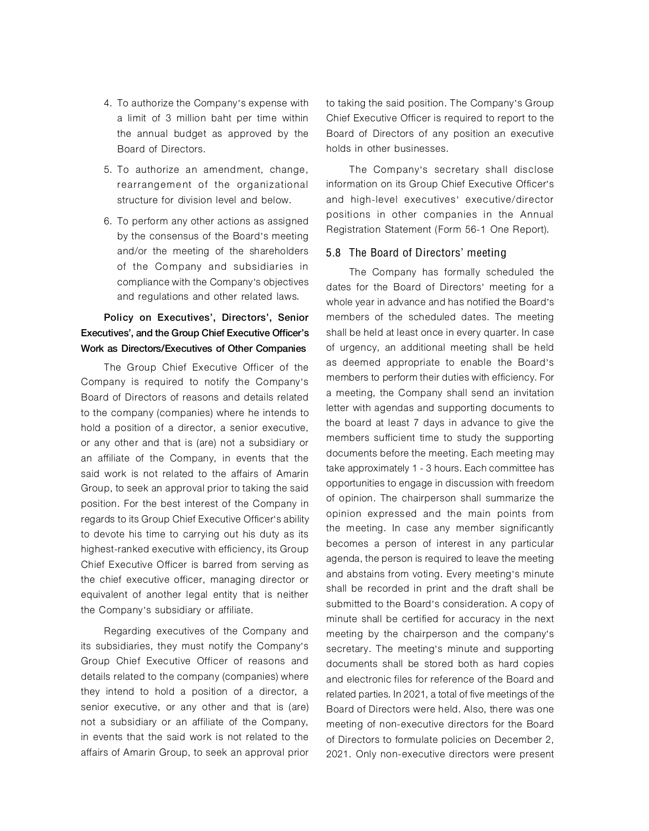- 4. To authorize the Company's expense with a limit of 3 million baht per time within the annual budget as approved by the Board of Directors.
- 5. To authorize an amendment, change, rearrangement of the organizational structure for division level and below.
- 6. To perform any other actions as assigned by the consensus of the Board's meeting and/or the meeting of the shareholders of the Company and subsidiaries in compliance with the Company's objectives and regulations and other related laws.

# Policy on Executives', Directors', Senior Executives', and the Group Chief Executive Officer's Work as Directors/Executives of Other Companies

The Group Chief Executive Officer of the Company is required to notify the Company's Board of Directors of reasons and details related to the company (companies) where he intends to hold a position of a director, a senior executive, or any other and that is (are) not a subsidiary or an affiliate of the Company, in events that the said work is not related to the affairs of Amarin Group, to seek an approval prior to taking the said position. For the best interest of the Company in regards to its Group Chief Executive Officer's ability to devote his time to carrying out his duty as its highest-ranked executive with efficiency, its Group Chief Executive Officer is barred from serving as the chief executive officer, managing director or equivalent of another legal entity that is neither the Company's subsidiary or affiliate.

Regarding executives of the Company and its subsidiaries, they must notify the Company's Group Chief Executive Officer of reasons and details related to the company (companies) where they intend to hold a position of a director, a senior executive, or any other and that is (are) not a subsidiary or an affiliate of the Company, in events that the said work is not related to the affairs of Amarin Group, to seek an approval prior to taking the said position. The Company's Group Chief Executive Officer is required to report to the Board of Directors of any position an executive holds in other businesses.

The Company's secretary shall disclose information on its Group Chief Executive Officer's and high-level executives' executive/director positions in other companies in the Annual Registration Statement (Form 56-1 One Report).

#### 5.8 The Board of Directors' meeting

The Company has formally scheduled the dates for the Board of Directors' meeting for a whole year in advance and has notified the Board's members of the scheduled dates. The meeting shall be held at least once in every quarter. In case of urgency, an additional meeting shall be held as deemed appropriate to enable the Board's members to perform their duties with efficiency. For a meeting, the Company shall send an invitation letter with agendas and supporting documents to the board at least 7 days in advance to give the members sufficient time to study the supporting documents before the meeting. Each meeting may take approximately 1 - 3 hours. Each committee has opportunities to engage in discussion with freedom of opinion. The chairperson shall summarize the opinion expressed and the main points from the meeting. In case any member significantly becomes a person of interest in any particular agenda, the person is required to leave the meeting and abstains from voting. Every meeting's minute shall be recorded in print and the draft shall be submitted to the Board's consideration. A copy of minute shall be certified for accuracy in the next meeting by the chairperson and the company's secretary. The meeting's minute and supporting documents shall be stored both as hard copies and electronic files for reference of the Board and related parties. In 2021, a total of five meetings of the Board of Directors were held. Also, there was one meeting of non-executive directors for the Board of Directors to formulate policies on December 2, 2021. Only non-executive directors were present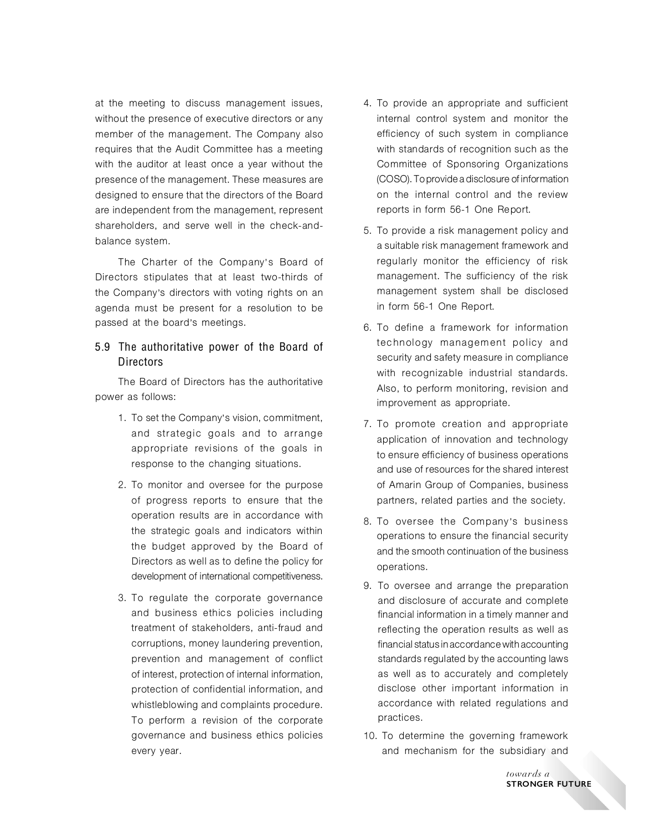at the meeting to discuss management issues, without the presence of executive directors or any member of the management. The Company also requires that the Audit Committee has a meeting with the auditor at least once a year without the presence of the management. These measures are designed to ensure that the directors of the Board are independent from the management, represent shareholders, and serve well in the check-andbalance system.

The Charter of the Company's Board of Directors stipulates that at least two-thirds of the Company's directors with voting rights on an agenda must be present for a resolution to be passed at the board's meetings.

## 5.9 The authoritative power of the Board of **Directors**

The Board of Directors has the authoritative power as follows:

- 1. To set the Company's vision, commitment, and strategic goals and to arrange appropriate revisions of the goals in response to the changing situations.
- 2. To monitor and oversee for the purpose of progress reports to ensure that the operation results are in accordance with the strategic goals and indicators within the budget approved by the Board of Directors as well as to define the policy for development of international competitiveness.
- 3. To regulate the corporate governance and business ethics policies including treatment of stakeholders, anti-fraud and corruptions, money laundering prevention, prevention and management of conflict of interest, protection of internal information, protection of confidential information, and whistleblowing and complaints procedure. To perform a revision of the corporate governance and business ethics policies every year.
- 4. To provide an appropriate and sufficient internal control system and monitor the efficiency of such system in compliance with standards of recognition such as the Committee of Sponsoring Organizations (COSO). To provide a disclosure of information on the internal control and the review reports in form 56-1 One Report.
- 5. To provide a risk management policy and a suitable risk management framework and regularly monitor the efficiency of risk management. The sufficiency of the risk management system shall be disclosed in form 56-1 One Report.
- 6. To define a framework for information technology management policy and security and safety measure in compliance with recognizable industrial standards. Also, to perform monitoring, revision and improvement as appropriate.
- 7. To promote creation and appropriate application of innovation and technology to ensure efficiency of business operations and use of resources for the shared interest of Amarin Group of Companies, business partners, related parties and the society.
- 8. To oversee the Company's business operations to ensure the financial security and the smooth continuation of the business operations.
- 9. To oversee and arrange the preparation and disclosure of accurate and complete financial information in a timely manner and reflecting the operation results as well as financial status in accordance with accounting standards regulated by the accounting laws as well as to accurately and completely disclose other important information in accordance with related regulations and practices.
- 10. To determine the governing framework and mechanism for the subsidiary and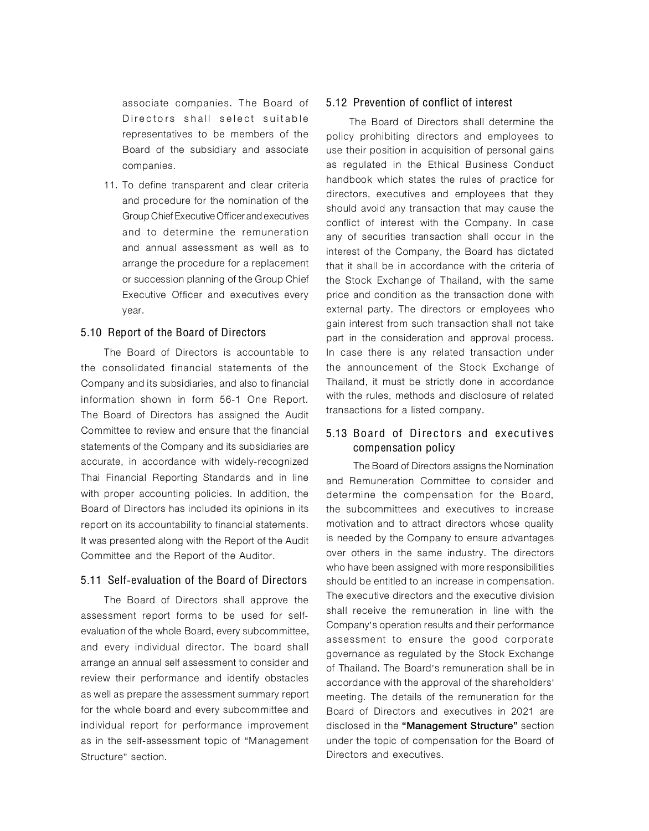associate companies. The Board of Directors shall select suitable representatives to be members of the Board of the subsidiary and associate companies.

11. To define transparent and clear criteria and procedure for the nomination of the Group Chief Executive Officer and executives and to determine the remuneration and annual assessment as well as to arrange the procedure for a replacement or succession planning of the Group Chief Executive Officer and executives every year.

#### 5.10 Report of the Board of Directors

The Board of Directors is accountable to the consolidated financial statements of the Company and its subsidiaries, and also to financial information shown in form 56-1 One Report. The Board of Directors has assigned the Audit Committee to review and ensure that the financial statements of the Company and its subsidiaries are accurate, in accordance with widely-recognized Thai Financial Reporting Standards and in line with proper accounting policies. In addition, the Board of Directors has included its opinions in its report on its accountability to financial statements. It was presented along with the Report of the Audit Committee and the Report of the Auditor.

#### 5.11 Self-evaluation of the Board of Directors

The Board of Directors shall approve the assessment report forms to be used for selfevaluation of the whole Board, every subcommittee, and every individual director. The board shall arrange an annual self assessment to consider and review their performance and identify obstacles as well as prepare the assessment summary report for the whole board and every subcommittee and individual report for performance improvement as in the self-assessment topic of "Management Structure" section.

#### 5.12 Prevention of conflict of interest

The Board of Directors shall determine the policy prohibiting directors and employees to use their position in acquisition of personal gains as regulated in the Ethical Business Conduct handbook which states the rules of practice for directors, executives and employees that they should avoid any transaction that may cause the conflict of interest with the Company. In case any of securities transaction shall occur in the interest of the Company, the Board has dictated that it shall be in accordance with the criteria of the Stock Exchange of Thailand, with the same price and condition as the transaction done with external party. The directors or employees who gain interest from such transaction shall not take part in the consideration and approval process. In case there is any related transaction under the announcement of the Stock Exchange of Thailand, it must be strictly done in accordance with the rules, methods and disclosure of related transactions for a listed company.

## 5.13 Board of Directors and ex ecutives compensation policy

The Board of Directors assigns the Nomination and Remuneration Committee to consider and determine the compensation for the Board, the subcommittees and executives to increase motivation and to attract directors whose quality is needed by the Company to ensure advantages over others in the same industry. The directors who have been assigned with more responsibilities should be entitled to an increase in compensation. The executive directors and the executive division shall receive the remuneration in line with the Company's operation results and their performance assessment to ensure the good corporate governance as regulated by the Stock Exchange of Thailand. The Board's remuneration shall be in accordance with the approval of the shareholders' meeting. The details of the remuneration for the Board of Directors and executives in 2021 are disclosed in the "Management Structure" section under the topic of compensation for the Board of Directors and executives.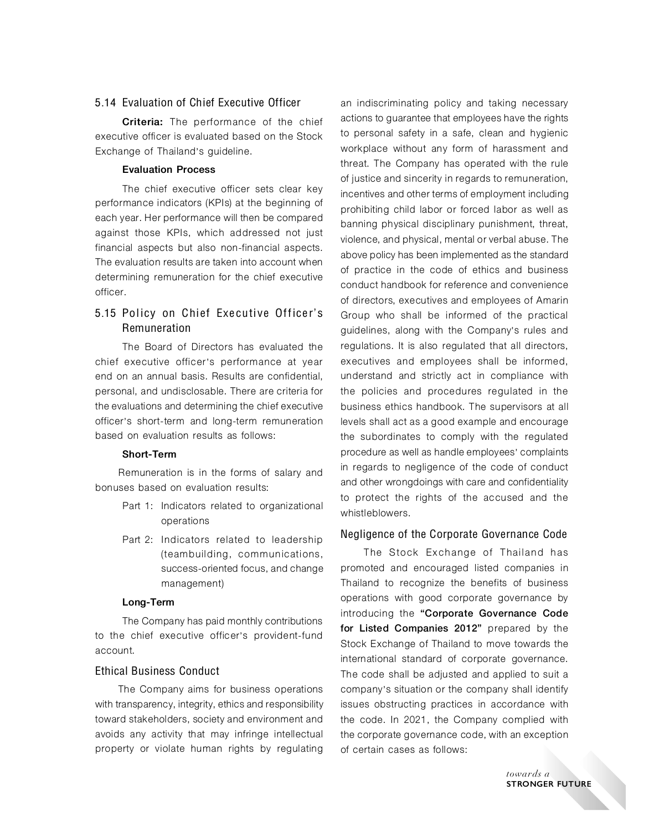#### 5.14 Evaluation of Chief Executive Officer

**Criteria:** The performance of the chief executive officer is evaluated based on the Stock Exchange of Thailand's guideline.

#### **Evaluation Process**

The chief executive officer sets clear key performance indicators (KPIs) at the beginning of each year. Her performance will then be compared against those KPIs, which addressed not just financial aspects but also non-financial aspects. The evaluation results are taken into account when determining remuneration for the chief executive officer.

## 5.15 Policy on Chief Executive Officer' s Remuneration

The Board of Directors has evaluated the chief executive officer's performance at year end on an annual basis. Results are confidential, personal, and undisclosable. There are criteria for the evaluations and determining the chief executive officer's short-term and long-term remuneration based on evaluation results as follows:

#### **Short-Term**

Remuneration is in the forms of salary and bonuses based on evaluation results:

- Part 1: Indicators related to organizational operations
- Part 2: Indicators related to leadership (teambuilding, communications, success-oriented focus, and change management)

#### **Long-Term**

The Company has paid monthly contributions to the chief executive officer's provident-fund account.

## Ethical Business Conduct

The Company aims for business operations with transparency, integrity, ethics and responsibility toward stakeholders, society and environment and avoids any activity that may infringe intellectual property or violate human rights by regulating

an indiscriminating policy and taking necessary actions to guarantee that employees have the rights to personal safety in a safe, clean and hygienic workplace without any form of harassment and threat. The Company has operated with the rule of justice and sincerity in regards to remuneration, incentives and other terms of employment including prohibiting child labor or forced labor as well as banning physical disciplinary punishment, threat, violence, and physical, mental or verbal abuse. The above policy has been implemented as the standard of practice in the code of ethics and business conduct handbook for reference and convenience of directors, executives and employees of Amarin Group who shall be informed of the practical guidelines, along with the Company's rules and regulations. It is also regulated that all directors, executives and employees shall be informed, understand and strictly act in compliance with the policies and procedures regulated in the business ethics handbook. The supervisors at all levels shall act as a good example and encourage the subordinates to comply with the regulated procedure as well as handle employees' complaints in regards to negligence of the code of conduct and other wrongdoings with care and confidentiality to protect the rights of the accused and the whistleblowers.

#### Negligence of the Corporate Governance Code

The Stock Exchange of Thailand has promoted and encouraged listed companies in Thailand to recognize the benefits of business operations with good corporate governance by introducing the "Corporate Governance Code for Listed Companies 2012" prepared by the Stock Exchange of Thailand to move towards the international standard of corporate governance. The code shall be adjusted and applied to suit a company's situation or the company shall identify issues obstructing practices in accordance with the code. In 2021, the Company complied with the corporate governance code, with an exception of certain cases as follows: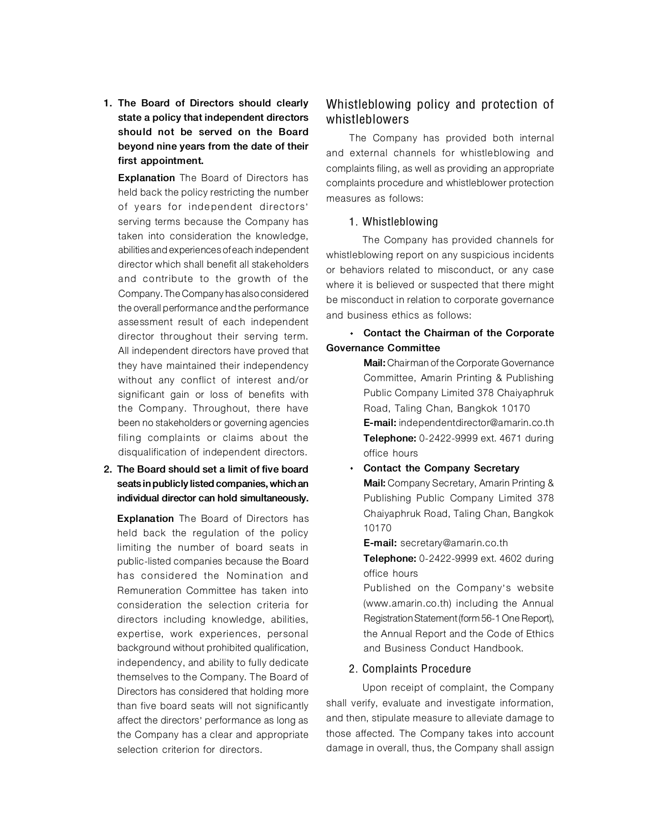**1. The Board of Directors should clearly state a policy that independent directors should not be served on the Board beyond nine years from the date of their first appointment.** 

**Explanation** The Board of Directors has held back the policy restricting the number of years for independent directors' serving terms because the Company has taken into consideration the knowledge, abilities and experiences of each independent director which shall benefit all stakeholders and contribute to the growth of the Company. The Company has also considered the overall performance and the performance assessment result of each independent director throughout their serving term. All independent directors have proved that they have maintained their independency without any conflict of interest and/or significant gain or loss of benefits with the Company. Throughout, there have been no stakeholders or governing agencies filing complaints or claims about the disqualification of independent directors.

## **2. The Board should set a limit of five board seats in publicly listed companies, which an individual director can hold simultaneously.**

**Explanation** The Board of Directors has held back the regulation of the policy limiting the number of board seats in public-listed companies because the Board has considered the Nomination and Remuneration Committee has taken into consideration the selection criteria for directors including knowledge, abilities, expertise, work experiences, personal background without prohibited qualification, independency, and ability to fully dedicate themselves to the Company. The Board of Directors has considered that holding more than five board seats will not significantly affect the directors' performance as long as the Company has a clear and appropriate selection criterion for directors.

# Whistleblowing policy and protection of whistleblowers

The Company has provided both internal and external channels for whistleblowing and complaints filing, as well as providing an appropriate complaints procedure and whistleblower protection measures as follows:

#### 1. Whistleblowing

The Company has provided channels for whistleblowing report on any suspicious incidents or behaviors related to misconduct, or any case where it is believed or suspected that there might be misconduct in relation to corporate governance and business ethics as follows:

# **Contact the Chairman of the Corporate Governance Committee**

**Mail:** Chairman of the Corporate Governance Committee, Amarin Printing & Publishing Public Company Limited 378 Chaiyaphruk Road, Taling Chan, Bangkok 10170 **E-mail:** independentdirector@amarin.co.th **Telephone:** 0-2422-9999 ext. 4671 during office hours

**Contact the Company Secretary Mail:** Company Secretary, Amarin Printing & Publishing Public Company Limited 378 Chaiyaphruk Road, Taling Chan, Bangkok 10170

**E-mail:** secretary@amarin.co.th

**Telephone:** 0-2422-9999 ext. 4602 during office hours

Published on the Company's website (www.amarin.co.th) including the Annual Registration Statement (form 56-1 One Report), the Annual Report and the Code of Ethics and Business Conduct Handbook.

## 2. Complaints Procedure

Upon receipt of complaint, the Company shall verify, evaluate and investigate information, and then, stipulate measure to alleviate damage to those affected. The Company takes into account damage in overall, thus, the Company shall assign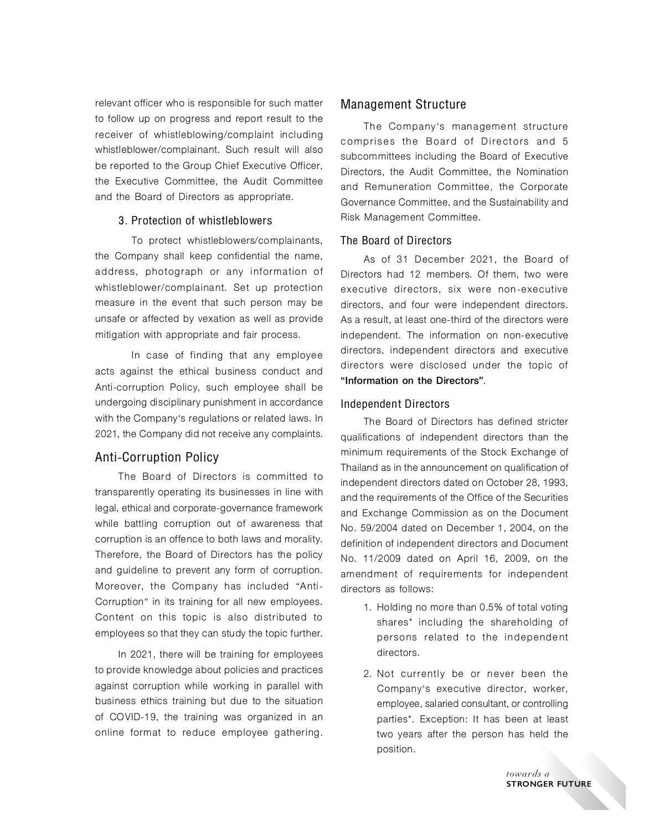relevant officer who is responsible for such matter to follow up on progress and report result to the receiver of whistleblowing/complaint including whistleblower/complainant. Such result will also be reported to the Group Chief Executive Officer, the Executive Committee, the Audit Committee and the Board of Directors as appropriate.

#### 3. Protection of whistleblowers

To protect whistleblowers/complainants, the Company shall keep confidential the name, address, photograph or any information of whistleblower/complainant. Set up protection measure in the event that such person may be unsafe or affected by vexation as well as provide mitigation with appropriate and fair process.

In case of finding that any employee acts against the ethical business conduct and Anti-corruption Policy, such employee shall be undergoing disciplinary punishment in accordance with the Company's regulations or related laws. In 2021, the Company did not receive any complaints.

## Anti-Corruption Policy

The Board of Directors is committed to transparently operating its businesses in line with legal, ethical and corporate-governance framework while battling corruption out of awareness that corruption is an offence to both laws and morality. Therefore, the Board of Directors has the policy and guideline to prevent any form of corruption. Moreover, the Company has included "Anti-Corruption" in its training for all new employees. Content on this topic is also distributed to employees so that they can study the topic further.

In 2021, there will be training for employees to provide knowledge about policies and practices against corruption while working in parallel with business ethics training but due to the situation of COVID-19, the training was organized in an online format to reduce employee gathering.

## Management Structure

The Company's management structure comprises the Board of Directors and 5 subcommittees including the Board of Executive Directors, the Audit Committee, the Nomination and Remuneration Committee, the Corporate Governance Committee, and the Sustainability and Risk Management Committee.

#### The Board of Directors

As of 31 December 2021, the Board of Directors had 12 members. Of them, two were executive directors, six were non-executive directors, and four were independent directors. As a result, at least one-third of the directors were independent. The information on non-executive directors, independent directors and executive directors were disclosed under the topic of "Information on the Directors".

#### Independent Directors

The Board of Directors has defined stricter qualifications of independent directors than the minimum requirements of the Stock Exchange of Thailand as in the announcement on qualification of independent directors dated on October 28, 1993, and the requirements of the Office of the Securities and Exchange Commission as on the Document No. 59/2004 dated on December 1, 2004, on the definition of independent directors and Document No. 11/2009 dated on April 16, 2009, on the amendment of requirements for independent directors as follows:

- 1. Holding no more than 0.5% of total voting shares\* including the shareholding of persons related to the independent directors.
- 2. Not currently be or never been the Company's executive director, worker, employee, salaried consultant, or controlling parties\*. Exception: It has been at least two years after the person has held the position.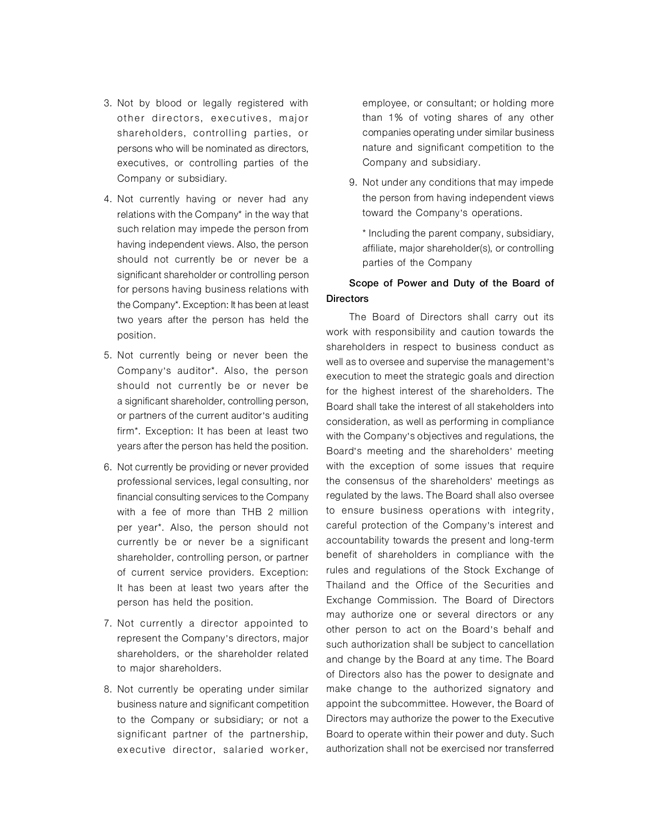- 3. Not by blood or legally registered with other directors, executives, major shareholders, controlling parties, or persons who will be nominated as directors, executives, or controlling parties of the Company or subsidiary.
- 4. Not currently having or never had any relations with the Company\* in the way that such relation may impede the person from having independent views. Also, the person should not currently be or never be a significant shareholder or controlling person for persons having business relations with the Company\*. Exception: It has been at least two years after the person has held the position.
- 5. Not currently being or never been the Company's auditor\*. Also, the person should not currently be or never be a significant shareholder, controlling person, or partners of the current auditor's auditing firm\*. Exception: It has been at least two years after the person has held the position.
- 6. Not currently be providing or never provided professional services, legal consulting, nor financial consulting services to the Company with a fee of more than THB 2 million per year\*. Also, the person should not currently be or never be a significant shareholder, controlling person, or partner of current service providers. Exception: It has been at least two years after the person has held the position.
- 7. Not currently a director appointed to represent the Company's directors, major shareholders, or the shareholder related to major shareholders.
- 8. Not currently be operating under similar business nature and significant competition to the Company or subsidiary; or not a significant partner of the partnership, executive director, salaried worker,

employee, or consultant; or holding more than 1% of voting shares of any other companies operating under similar business nature and significant competition to the Company and subsidiary.

9. Not under any conditions that may impede the person from having independent views toward the Company's operations.

\* Including the parent company, subsidiary, affiliate, major shareholder(s), or controlling parties of the Company

## Scope of Power and Duty of the Board of **Directors**

The Board of Directors shall carry out its work with responsibility and caution towards the shareholders in respect to business conduct as well as to oversee and supervise the management's execution to meet the strategic goals and direction for the highest interest of the shareholders. The Board shall take the interest of all stakeholders into consideration, as well as performing in compliance with the Company's objectives and regulations, the Board's meeting and the shareholders' meeting with the exception of some issues that require the consensus of the shareholders' meetings as regulated by the laws. The Board shall also oversee to ensure business operations with integrity, careful protection of the Company's interest and accountability towards the present and long-term benefit of shareholders in compliance with the rules and regulations of the Stock Exchange of Thailand and the Office of the Securities and Exchange Commission. The Board of Directors may authorize one or several directors or any other person to act on the Board's behalf and such authorization shall be subject to cancellation and change by the Board at any time. The Board of Directors also has the power to designate and make change to the authorized signatory and appoint the subcommittee. However, the Board of Directors may authorize the power to the Executive Board to operate within their power and duty. Such authorization shall not be exercised nor transferred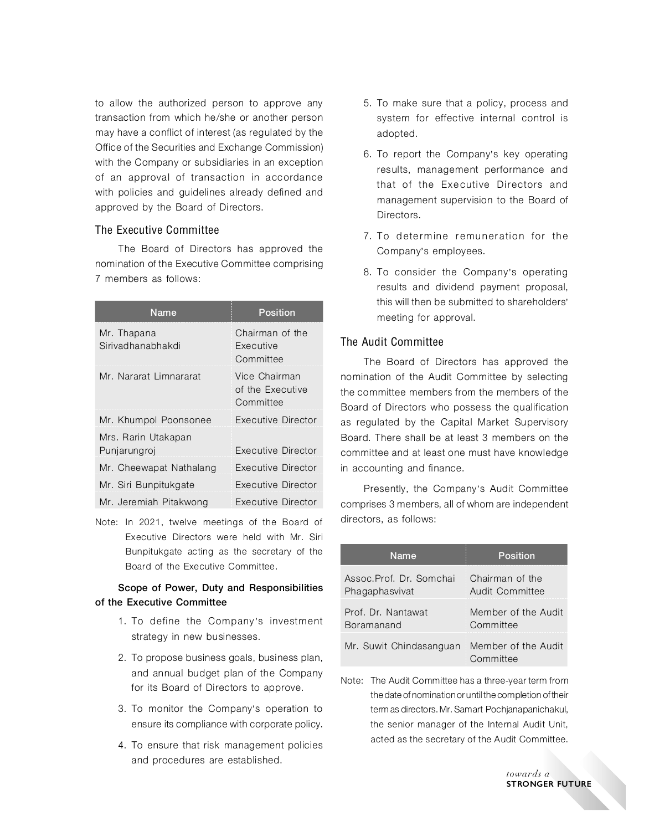to allow the authorized person to approve any transaction from which he/she or another person may have a conflict of interest (as regulated by the Office of the Securities and Exchange Commission) with the Company or subsidiaries in an exception of an approval of transaction in accordance with policies and guidelines already defined and approved by the Board of Directors.

## The Executive Committee

The Board of Directors has approved the nomination of the Executive Committee comprising 7 members as follows:

| Name                             | Position                                         |
|----------------------------------|--------------------------------------------------|
| Mr. Thapana<br>Siriyadhanabhakdi | Chairman of the<br><b>Fxecutive</b><br>Committee |
| Mr. Nararat Limnararat           | Vice Chairman<br>of the Executive<br>Committee   |
| Mr. Khumpol Poonsonee            | Executive Director                               |
| Mrs. Rarin Utakapan              |                                                  |
| Punjarungroj                     | Executive Director                               |
| Mr. Cheewapat Nathalang          | Executive Director                               |
| Mr. Siri Bunpitukgate            | Executive Director                               |
| Mr. Jeremiah Pitakwong           | Executive Director                               |

Note: In 2021, twelve meetings of the Board of Executive Directors were held with Mr. Siri Bunpitukgate acting as the secretary of the Board of the Executive Committee.

## Scope of Power, Duty and Responsibilities of the Executive Committee

- 1. To define the Company's investment strategy in new businesses.
- 2. To propose business goals, business plan, and annual budget plan of the Company for its Board of Directors to approve.
- 3. To monitor the Company's operation to ensure its compliance with corporate policy.
- 4. To ensure that risk management policies and procedures are established.
- 5. To make sure that a policy, process and system for effective internal control is adopted.
- 6. To report the Company's key operating results, management performance and that of the Executive Directors and management supervision to the Board of Directors.
- 7. To determine remuneration for the Company's employees.
- 8. To consider the Company's operating results and dividend payment proposal, this will then be submitted to shareholders' meeting for approval.

## The Audit Committee

The Board of Directors has approved the nomination of the Audit Committee by selecting the committee members from the members of the Board of Directors who possess the qualification as regulated by the Capital Market Supervisory Board. There shall be at least 3 members on the committee and at least one must have knowledge in accounting and finance.

Presently, the Company's Audit Committee comprises 3 members, all of whom are independent directors, as follows:

| Name                     | <b>Position</b>                  |
|--------------------------|----------------------------------|
| Assoc. Prof. Dr. Somchai | Chairman of the                  |
| Phagaphasvivat           | Audit Committee                  |
| Prof. Dr. Nantawat       | Member of the Audit              |
| Boramanand               | Committee                        |
| Mr. Suwit Chindasanguan  | Member of the Audit<br>Committee |

Note: The Audit Committee has a three-year term from the date of nomination or until the completion of their term as directors. Mr. Samart Pochjanapanichakul, the senior manager of the Internal Audit Unit, acted as the secretary of the Audit Committee.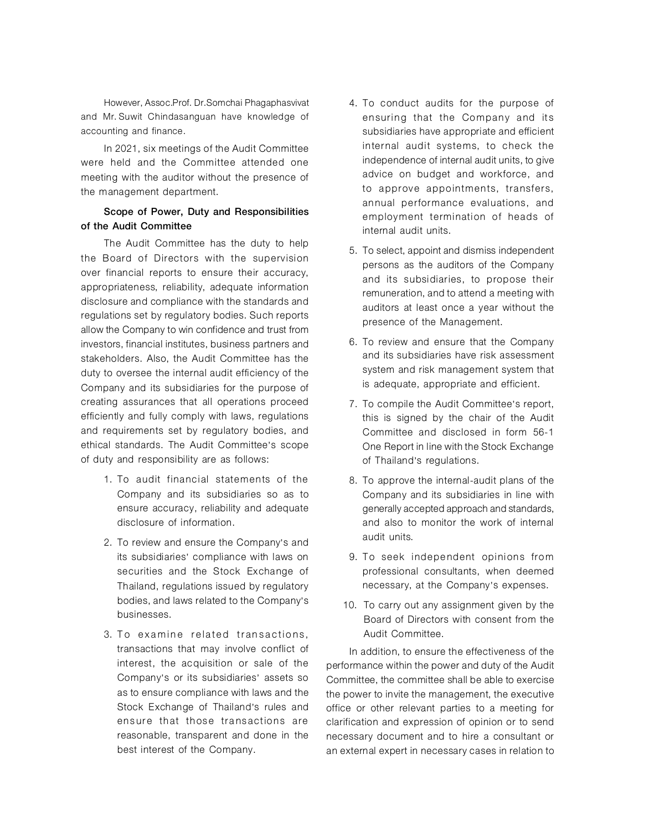However, Assoc.Prof. Dr.Somchai Phagaphasvivat and Mr. Suwit Chindasanguan have knowledge of accounting and finance.

In 2021, six meetings of the Audit Committee were held and the Committee attended one meeting with the auditor without the presence of the management department.

## Scope of Power, Duty and Responsibilities of the Audit Committee

The Audit Committee has the duty to help the Board of Directors with the supervision over financial reports to ensure their accuracy, appropriateness, reliability, adequate information disclosure and compliance with the standards and regulations set by regulatory bodies. Such reports allow the Company to win confidence and trust from investors, financial institutes, business partners and stakeholders. Also, the Audit Committee has the duty to oversee the internal audit efficiency of the Company and its subsidiaries for the purpose of creating assurances that all operations proceed efficiently and fully comply with laws, regulations and requirements set by regulatory bodies, and ethical standards. The Audit Committee's scope of duty and responsibility are as follows:

- 1. To audit financial statements of the Company and its subsidiaries so as to ensure accuracy, reliability and adequate disclosure of information.
- 2. To review and ensure the Company's and its subsidiaries' compliance with laws on securities and the Stock Exchange of Thailand, regulations issued by regulatory bodies, and laws related to the Company's businesses.
- 3. To examine related transactions, transactions that may involve conflict of interest, the acquisition or sale of the Company's or its subsidiaries' assets so as to ensure compliance with laws and the Stock Exchange of Thailand's rules and ensure that those transactions are reasonable, transparent and done in the best interest of the Company.
- 4. To conduct audits for the purpose of ensuring that the Company and its subsidiaries have appropriate and efficient internal audit systems, to check the independence of internal audit units, to give advice on budget and workforce, and to approve appointments, transfers, annual performance evaluations, and employment termination of heads of internal audit units.
- 5. To select, appoint and dismiss independent persons as the auditors of the Company and its subsidiaries, to propose their remuneration, and to attend a meeting with auditors at least once a year without the presence of the Management.
- 6. To review and ensure that the Company and its subsidiaries have risk assessment system and risk management system that is adequate, appropriate and efficient.
- 7. To compile the Audit Committee's report, this is signed by the chair of the Audit Committee and disclosed in form 56-1 One Report in line with the Stock Exchange of Thailand's regulations.
- 8. To approve the internal-audit plans of the Company and its subsidiaries in line with generally accepted approach and standards, and also to monitor the work of internal audit units.
- 9. To seek independent opinions from professional consultants, when deemed necessary, at the Company's expenses.
- 10. To carry out any assignment given by the Board of Directors with consent from the Audit Committee.

In addition, to ensure the effectiveness of the performance within the power and duty of the Audit Committee, the committee shall be able to exercise the power to invite the management, the executive office or other relevant parties to a meeting for clarification and expression of opinion or to send necessary document and to hire a consultant or an external expert in necessary cases in relation to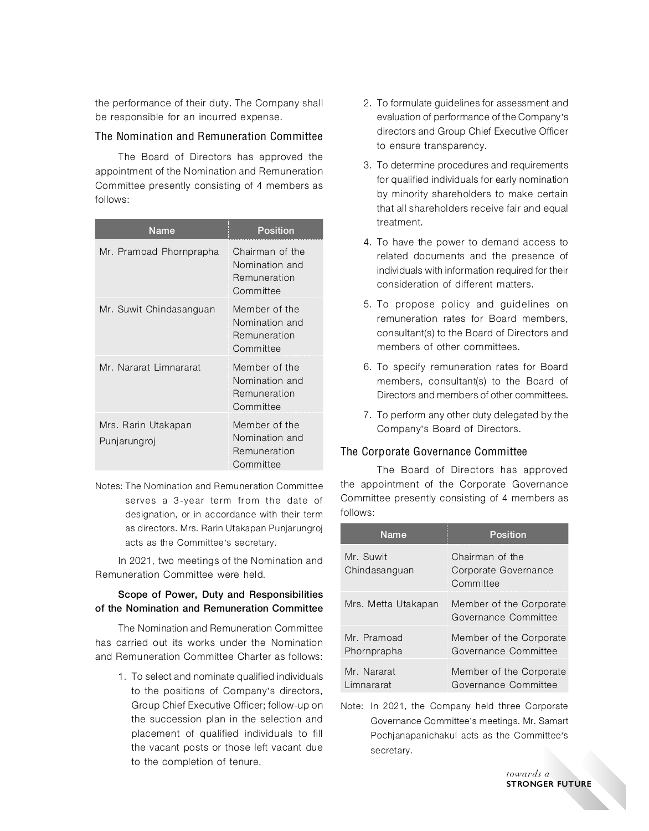the performance of their duty. The Company shall be responsible for an incurred expense.

## The Nomination and Remuneration Committee

The Board of Directors has approved the appointment of the Nomination and Remuneration Committee presently consisting of 4 members as follows:

| Name                                | Position                                                       |
|-------------------------------------|----------------------------------------------------------------|
| Mr. Pramoad Phornprapha             | Chairman of the<br>Nomination and<br>Remuneration<br>Committee |
| Mr. Suwit Chindasanguan             | Member of the<br>Nomination and<br>Remuneration<br>Committee   |
| Mr. Nararat Limnararat              | Member of the<br>Nomination and<br>Remuneration<br>Committee   |
| Mrs. Rarin Utakapan<br>Punjarungroj | Member of the<br>Nomination and<br>Remuneration<br>Committee   |

Notes:The Nomination and Remuneration Committee serves a 3-year term from the date of designation, or in accordance with their term as directors. Mrs. Rarin Utakapan Punjarungroj acts as the Committee's secretary.

In 2021, two meetings of the Nomination and Remuneration Committee were held.

## Scope of Power, Duty and Responsibilities of the Nomination and Remuneration Committee

The Nomination and Remuneration Committee has carried out its works under the Nomination and Remuneration Committee Charter as follows:

> 1. To select and nominate qualified individuals to the positions of Company's directors, Group Chief Executive Officer; follow-up on the succession plan in the selection and placement of qualified individuals to fill the vacant posts or those left vacant due to the completion of tenure.

- 2. To formulate guidelines for assessment and evaluation of performance of the Company's directors and Group Chief Executive Officer to ensure transparency.
- 3. To determine procedures and requirements for qualified individuals for early nomination by minority shareholders to make certain that all shareholders receive fair and equal treatment.
- 4. To have the power to demand access to related documents and the presence of individuals with information required for their consideration of different matters.
- 5. To propose policy and guidelines on remuneration rates for Board members, consultant(s) to the Board of Directors and members of other committees.
- 6. To specify remuneration rates for Board members, consultant(s) to the Board of Directors and members of other committees.
- 7. To perform any other duty delegated by the Company's Board of Directors.

## The Corporate Governance Committee

The Board of Directors has approved the appointment of the Corporate Governance Committee presently consisting of 4 members as follows:

| <b>Name</b>                | Position                                             |  |
|----------------------------|------------------------------------------------------|--|
| Mr. Suwit<br>Chindasanguan | Chairman of the<br>Corporate Governance<br>Committee |  |
| Mrs. Metta Utakapan        | Member of the Corporate<br>Governance Committee      |  |
| Mr. Pramoad<br>Phornprapha | Member of the Corporate<br>Governance Committee      |  |
| Mr. Nararat<br>Limnararat  | Member of the Corporate<br>Governance Committee      |  |

Note: In 2021, the Company held three Corporate Governance Committee's meetings. Mr. Samart Pochjanapanichakul acts as the Committee's secretary.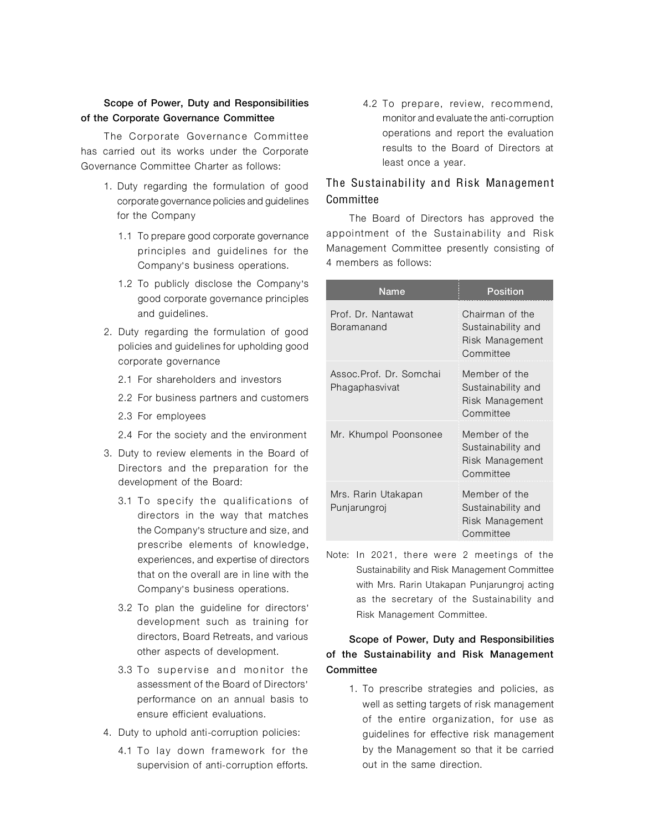## Scope of Power, Duty and Responsibilities of the Corporate Governance Committee

The Corporate Governance Committee has carried out its works under the Corporate Governance Committee Charter as follows:

- 1. Duty regarding the formulation of good corporate governance policies and guidelines for the Company
	- 1.1 To prepare good corporate governance principles and guidelines for the Company's business operations.
	- 1.2 To publicly disclose the Company's good corporate governance principles and guidelines.
- 2. Duty regarding the formulation of good policies and guidelines for upholding good corporate governance
	- 2.1 For shareholders and investors
	- 2.2 For business partners and customers
	- 2.3 For employees
	- 2.4 For the society and the environment
- 3. Duty to review elements in the Board of Directors and the preparation for the development of the Board:
	- 3.1 To specify the qualifications of directors in the way that matches the Company's structure and size, and prescribe elements of knowledge, experiences, and expertise of directors that on the overall are in line with the Company's business operations.
	- 3.2 To plan the guideline for directors' development such as training for directors, Board Retreats, and various other aspects of development.
	- 3.3 To supervise and monitor the assessment of the Board of Directors' performance on an annual basis to ensure efficient evaluations.
- 4. Duty to uphold anti-corruption policies:
	- 4.1 To lay down framework for the supervision of anti-corruption efforts.

4.2 To prepare, review, recommend, monitor and evaluate the anti-corruption operations and report the evaluation results to the Board of Directors at least once a year.

# The Sustainability and Risk Management Committee

The Board of Directors has approved the appointment of the Sustainability and Risk Management Committee presently consisting of 4 members as follows:

| Name                                      | Position                                                              |  |
|-------------------------------------------|-----------------------------------------------------------------------|--|
| Prof. Dr. Nantawat<br>Boramanand          | Chairman of the<br>Sustainability and<br>Risk Management<br>Committee |  |
| Assoc.Prof. Dr. Somchai<br>Phagaphasvivat | Member of the<br>Sustainability and<br>Risk Management<br>Committee   |  |
| Mr. Khumpol Poonsonee                     | Member of the<br>Sustainability and<br>Risk Management<br>Committee   |  |
| Mrs. Rarin Utakapan<br>Punjarungroj       | Member of the<br>Sustainability and<br>Risk Management<br>Committee   |  |

Note: In 2021, there were 2 meetings of the Sustainability and Risk Management Committee with Mrs. Rarin Utakapan Punjarungroj acting as the secretary of the Sustainability and Risk Management Committee.

# Scope of Power, Duty and Responsibilities of the Sustainability and Risk Management **Committee**

1. To prescribe strategies and policies, as well as setting targets of risk management of the entire organization, for use as guidelines for effective risk management by the Management so that it be carried out in the same direction.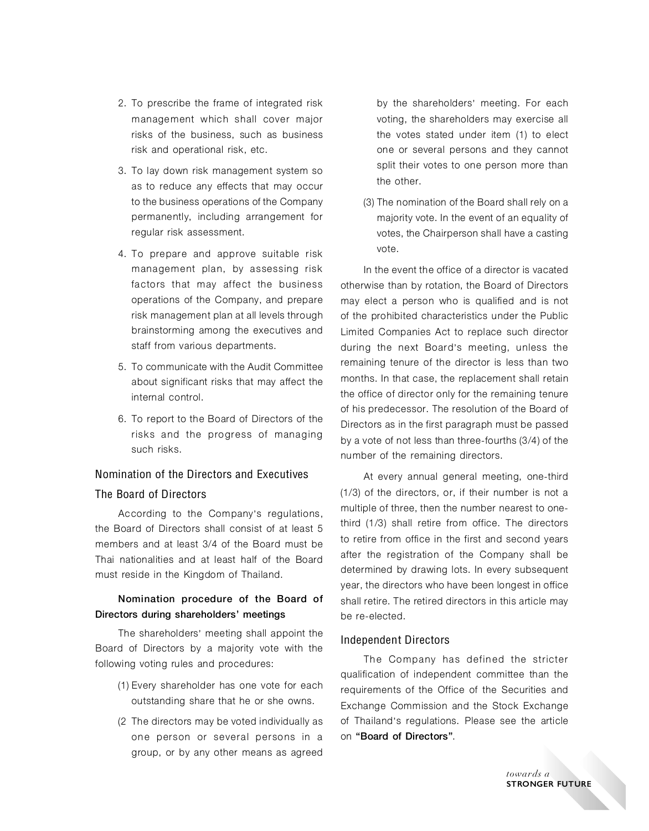- 2. To prescribe the frame of integrated risk management which shall cover major risks of the business, such as business risk and operational risk, etc.
- 3. To lay down risk management system so as to reduce any effects that may occur to the business operations of the Company permanently, including arrangement for regular risk assessment.
- 4. To prepare and approve suitable risk management plan, by assessing risk factors that may affect the business operations of the Company, and prepare risk management plan at all levels through brainstorming among the executives and staff from various departments.
- 5. To communicate with the Audit Committee about significant risks that may affect the internal control.
- 6. To report to the Board of Directors of the risks and the progress of managing such risks.

# Nomination of the Directors and Executives The Board of Directors

According to the Company's regulations, the Board of Directors shall consist of at least 5 members and at least 3/4 of the Board must be Thai nationalities and at least half of the Board must reside in the Kingdom of Thailand.

## Nomination procedure of the Board of Directors during shareholders' meetings

The shareholders' meeting shall appoint the Board of Directors by a majority vote with the following voting rules and procedures:

- (1) Every shareholder has one vote for each outstanding share that he or she owns.
- (2 The directors may be voted individually as one person or several persons in a group, or by any other means as agreed

by the shareholders' meeting. For each voting, the shareholders may exercise all the votes stated under item (1) to elect one or several persons and they cannot split their votes to one person more than the other.

(3)The nomination of the Board shall rely on a majority vote. In the event of an equality of votes, the Chairperson shall have a casting vote.

In the event the office of a director is vacated otherwise than by rotation, the Board of Directors may elect a person who is qualified and is not of the prohibited characteristics under the Public Limited Companies Act to replace such director during the next Board's meeting, unless the remaining tenure of the director is less than two months. In that case, the replacement shall retain the office of director only for the remaining tenure of his predecessor. The resolution of the Board of Directors as in the first paragraph must be passed by a vote of not less than three-fourths (3/4) of the number of the remaining directors.

At every annual general meeting, one-third (1/3) of the directors, or, if their number is not a multiple of three, then the number nearest to onethird (1/3) shall retire from office. The directors to retire from office in the first and second years after the registration of the Company shall be determined by drawing lots. In every subsequent year, the directors who have been longest in office shall retire. The retired directors in this article may be re-elected.

#### Independent Directors

The Company has defined the stricter qualification of independent committee than the requirements of the Office of the Securities and Exchange Commission and the Stock Exchange of Thailand's regulations. Please see the article on "Board of Directors".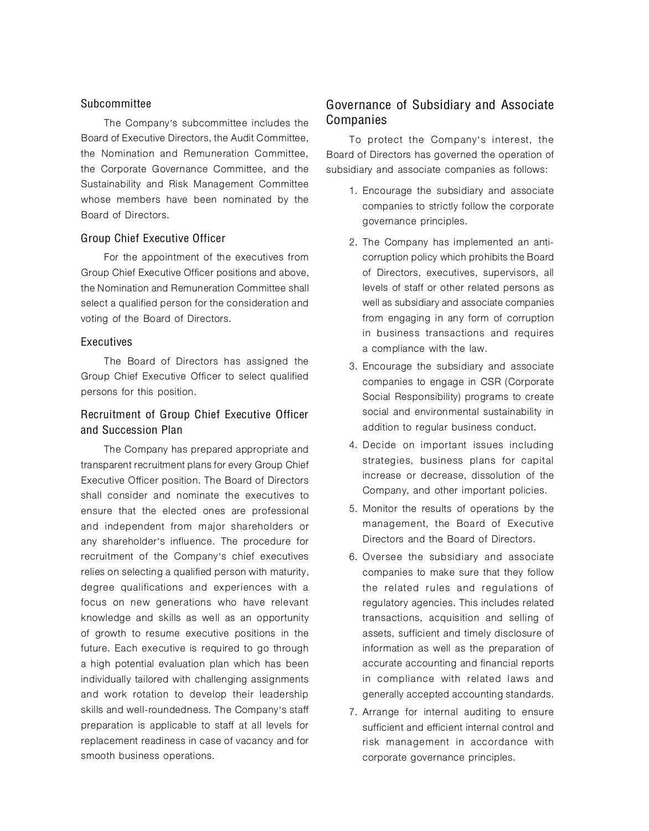## Subcommittee

The Company's subcommittee includes the Board of Executive Directors, the Audit Committee, the Nomination and Remuneration Committee, the Corporate Governance Committee, and the Sustainability and Risk Management Committee whose members have been nominated by the Board of Directors.

#### Group Chief Executive Officer

For the appointment of the executives from Group Chief Executive Officer positions and above, the Nomination and Remuneration Committee shall select a qualified person for the consideration and voting of the Board of Directors.

#### Executives

The Board of Directors has assigned the Group Chief Executive Officer to select qualified persons for this position.

## Recruitment of Group Chief Executive Officer and Succession Plan

The Company has prepared appropriate and transparent recruitment plans for every Group Chief Executive Officer position. The Board of Directors shall consider and nominate the executives to ensure that the elected ones are professional and independent from major shareholders or any shareholder's influence. The procedure for recruitment of the Company's chief executives relies on selecting a qualified person with maturity, degree qualifications and experiences with a focus on new generations who have relevant knowledge and skills as well as an opportunity of growth to resume executive positions in the future. Each executive is required to go through a high potential evaluation plan which has been individually tailored with challenging assignments and work rotation to develop their leadership skills and well-roundedness. The Company's staff preparation is applicable to staff at all levels for replacement readiness in case of vacancy and for smooth business operations.

# Governance of Subsidiary and Associate Companies

To protect the Company's interest, the Board of Directors has governed the operation of subsidiary and associate companies as follows:

- 1. Encourage the subsidiary and associate companies to strictly follow the corporate governance principles.
- 2. The Company has implemented an anticorruption policy which prohibits the Board of Directors, executives, supervisors, all levels of staff or other related persons as well as subsidiary and associate companies from engaging in any form of corruption in business transactions and requires a compliance with the law.
- 3. Encourage the subsidiary and associate companies to engage in CSR (Corporate Social Responsibility) programs to create social and environmental sustainability in addition to regular business conduct.
- 4. Decide on important issues including strategies, business plans for capital increase or decrease, dissolution of the Company, and other important policies.
- 5. Monitor the results of operations by the management, the Board of Executive Directors and the Board of Directors.
- 6. Oversee the subsidiary and associate companies to make sure that they follow the related rules and regulations of regulatory agencies. This includes related transactions, acquisition and selling of assets, sufficient and timely disclosure of information as well as the preparation of accurate accounting and financial reports in compliance with related laws and generally accepted accounting standards.
- 7. Arrange for internal auditing to ensure sufficient and efficient internal control and risk management in accordance with corporate governance principles.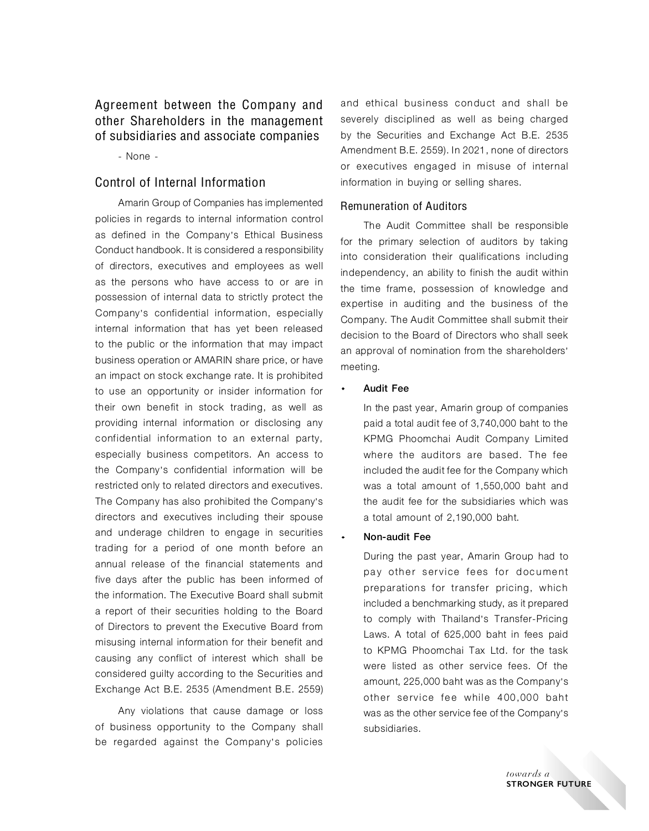Agreement between the Company and other Shareholders in the management of subsidiaries and associate companies

- None -

# Control of Internal Information

Amarin Group of Companies has implemented policies in regards to internal information control as defined in the Company's Ethical Business Conduct handbook. It is considered a responsibility of directors, executives and employees as well as the persons who have access to or are in possession of internal data to strictly protect the Company's confidential information, especially internal information that has yet been released to the public or the information that may impact business operation or AMARIN share price, or have an impact on stock exchange rate. It is prohibited to use an opportunity or insider information for their own benefit in stock trading, as well as providing internal information or disclosing any confidential information to an external party, especially business competitors. An access to the Company's confidential information will be restricted only to related directors and executives. The Company has also prohibited the Company's directors and executives including their spouse and underage children to engage in securities trading for a period of one month before an annual release of the financial statements and five days after the public has been informed of the information. The Executive Board shall submit a report of their securities holding to the Board of Directors to prevent the Executive Board from misusing internal information for their benefit and causing any conflict of interest which shall be considered guilty according to the Securities and Exchange Act B.E. 2535 (Amendment B.E. 2559)

Any violations that cause damage or loss of business opportunity to the Company shall be regarded against the Company's policies

and ethical business conduct and shall be severely disciplined as well as being charged by the Securities and Exchange Act B.E. 2535 Amendment B.E. 2559). In 2021, none of directors or executives engaged in misuse of internal information in buying or selling shares.

## Remuneration of Auditors

The Audit Committee shall be responsible for the primary selection of auditors by taking into consideration their qualifications including independency, an ability to finish the audit within the time frame, possession of knowledge and expertise in auditing and the business of the Company. The Audit Committee shall submit their decision to the Board of Directors who shall seek an approval of nomination from the shareholders' meeting.

#### Audit Fee

In the past year, Amarin group of companies paid a total audit fee of 3,740,000 baht to the KPMG Phoomchai Audit Company Limited where the auditors are based. The fee included the audit fee for the Company which was a total amount of 1,550,000 baht and the audit fee for the subsidiaries which was a total amount of 2,190,000 baht.

#### Non-audit Fee

During the past year, Amarin Group had to pay other service fees for document preparations for transfer pricing, which included a benchmarking study, as it prepared to comply with Thailand's Transfer-Pricing Laws. A total of 625,000 baht in fees paid to KPMG Phoomchai Tax Ltd. for the task were listed as other service fees. Of the amount, 225,000 baht was as the Company's other service fee while 400,000 baht was as the other service fee of the Company's subsidiaries.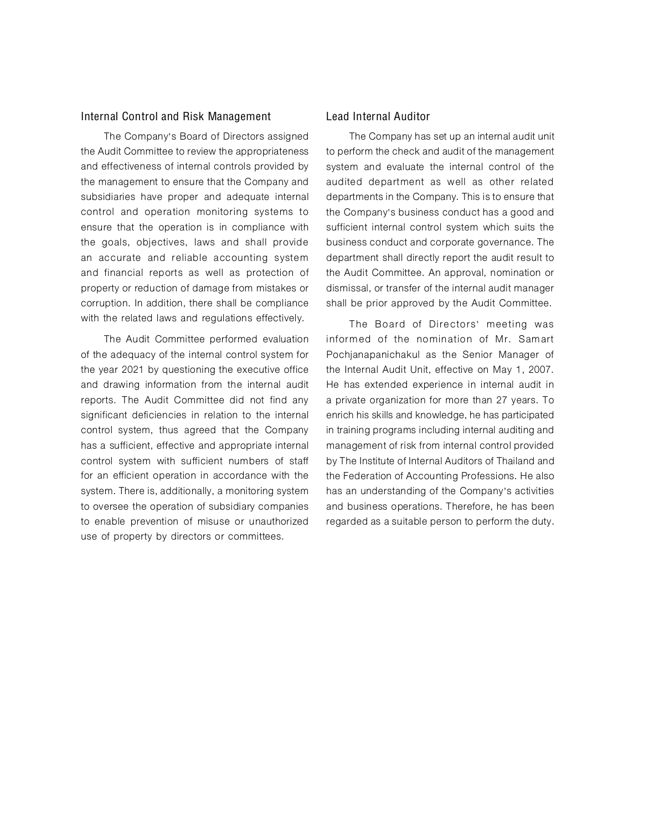#### Internal Control and Risk Management

The Company's Board of Directors assigned the Audit Committee to review the appropriateness and effectiveness of internal controls provided by the management to ensure that the Company and subsidiaries have proper and adequate internal control and operation monitoring systems to ensure that the operation is in compliance with the goals, objectives, laws and shall provide an accurate and reliable accounting system and financial reports as well as protection of property or reduction of damage from mistakes or corruption. In addition, there shall be compliance with the related laws and regulations effectively.

The Audit Committee performed evaluation of the adequacy of the internal control system for the year 2021 by questioning the executive office and drawing information from the internal audit reports. The Audit Committee did not find any significant deficiencies in relation to the internal control system, thus agreed that the Company has a sufficient, effective and appropriate internal control system with sufficient numbers of staff for an efficient operation in accordance with the system. There is, additionally, a monitoring system to oversee the operation of subsidiary companies to enable prevention of misuse or unauthorized use of property by directors or committees.

#### Lead Internal Auditor

The Company has set up an internal audit unit to perform the check and audit of the management system and evaluate the internal control of the audited department as well as other related departments in the Company. This is to ensure that the Company's business conduct has a good and sufficient internal control system which suits the business conduct and corporate governance. The department shall directly report the audit result to the Audit Committee. An approval, nomination or dismissal, or transfer of the internal audit manager shall be prior approved by the Audit Committee.

The Board of Directors' meeting was informed of the nomination of Mr. Samart Pochianapanichakul as the Senior Manager of the Internal Audit Unit, effective on May 1, 2007. He has extended experience in internal audit in a private organization for more than 27 years. To enrich his skills and knowledge, he has participated in training programs including internal auditing and management of risk from internal control provided by The Institute of Internal Auditors of Thailand and the Federation of Accounting Professions. He also has an understanding of the Company's activities and business operations. Therefore, he has been regarded as a suitable person to perform the duty.